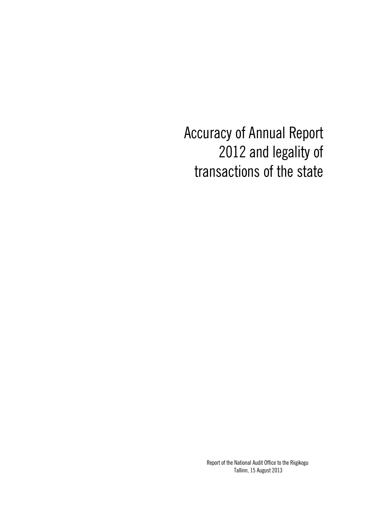Accuracy of Annual Report 2012 and legality of transactions of the state

> Report of the National Audit Office to the Riigikogu, Tallinn, 15 August 2013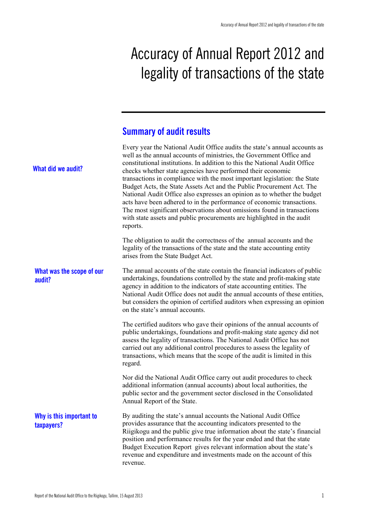# Accuracy of Annual Report 2012 and legality of transactions of the state

## **Summary of audit results**

| What did we audit?                     | Every year the National Audit Office audits the state's annual accounts as<br>well as the annual accounts of ministries, the Government Office and<br>constitutional institutions. In addition to this the National Audit Office<br>checks whether state agencies have performed their economic<br>transactions in compliance with the most important legislation: the State<br>Budget Acts, the State Assets Act and the Public Procurement Act. The<br>National Audit Office also expresses an opinion as to whether the budget<br>acts have been adhered to in the performance of economic transactions.<br>The most significant observations about omissions found in transactions<br>with state assets and public procurements are highlighted in the audit<br>reports. |
|----------------------------------------|------------------------------------------------------------------------------------------------------------------------------------------------------------------------------------------------------------------------------------------------------------------------------------------------------------------------------------------------------------------------------------------------------------------------------------------------------------------------------------------------------------------------------------------------------------------------------------------------------------------------------------------------------------------------------------------------------------------------------------------------------------------------------|
|                                        | The obligation to audit the correctness of the annual accounts and the<br>legality of the transactions of the state and the state accounting entity<br>arises from the State Budget Act.                                                                                                                                                                                                                                                                                                                                                                                                                                                                                                                                                                                     |
| What was the scope of our<br>audit?    | The annual accounts of the state contain the financial indicators of public<br>undertakings, foundations controlled by the state and profit-making state<br>agency in addition to the indicators of state accounting entities. The<br>National Audit Office does not audit the annual accounts of these entities,<br>but considers the opinion of certified auditors when expressing an opinion<br>on the state's annual accounts.                                                                                                                                                                                                                                                                                                                                           |
|                                        | The certified auditors who gave their opinions of the annual accounts of<br>public undertakings, foundations and profit-making state agency did not<br>assess the legality of transactions. The National Audit Office has not<br>carried out any additional control procedures to assess the legality of<br>transactions, which means that the scope of the audit is limited in this<br>regard.                                                                                                                                                                                                                                                                                                                                                                              |
|                                        | Nor did the National Audit Office carry out audit procedures to check<br>additional information (annual accounts) about local authorities, the<br>public sector and the government sector disclosed in the Consolidated<br>Annual Report of the State.                                                                                                                                                                                                                                                                                                                                                                                                                                                                                                                       |
| Why is this important to<br>taxpayers? | By auditing the state's annual accounts the National Audit Office<br>provides assurance that the accounting indicators presented to the<br>Riigikogu and the public give true information about the state's financial<br>position and performance results for the year ended and that the state<br>Budget Execution Report gives relevant information about the state's<br>revenue and expenditure and investments made on the account of this<br>revenue.                                                                                                                                                                                                                                                                                                                   |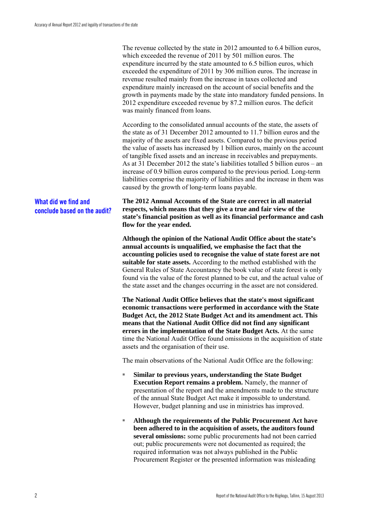The revenue collected by the state in 2012 amounted to 6.4 billion euros, which exceeded the revenue of 2011 by 501 million euros. The expenditure incurred by the state amounted to 6.5 billion euros, which exceeded the expenditure of 2011 by 306 million euros. The increase in revenue resulted mainly from the increase in taxes collected and expenditure mainly increased on the account of social benefits and the growth in payments made by the state into mandatory funded pensions. In 2012 expenditure exceeded revenue by 87.2 million euros. The deficit was mainly financed from loans.

According to the consolidated annual accounts of the state, the assets of the state as of 31 December 2012 amounted to 11.7 billion euros and the majority of the assets are fixed assets. Compared to the previous period the value of assets has increased by 1 billion euros, mainly on the account of tangible fixed assets and an increase in receivables and prepayments. As at 31 December 2012 the state's liabilities totalled 5 billion euros – an increase of 0.9 billion euros compared to the previous period. Long-term liabilities comprise the majority of liabilities and the increase in them was caused by the growth of long-term loans payable.

### **What did we find and conclude based on the audit?**

**The 2012 Annual Accounts of the State are correct in all material respects, which means that they give a true and fair view of the state's financial position as well as its financial performance and cash flow for the year ended.**

**Although the opinion of the National Audit Office about the state's annual accounts is unqualified, we emphasise the fact that the accounting policies used to recognise the value of state forest are not suitable for state assets.** According to the method established with the General Rules of State Accountancy the book value of state forest is only found via the value of the forest planned to be cut, and the actual value of the state asset and the changes occurring in the asset are not considered.

**The National Audit Office believes that the state's most significant economic transactions were performed in accordance with the State Budget Act, the 2012 State Budget Act and its amendment act. This means that the National Audit Office did not find any significant errors in the implementation of the State Budget Acts.** At the same time the National Audit Office found omissions in the acquisition of state assets and the organisation of their use.

The main observations of the National Audit Office are the following:

- **Similar to previous years, understanding the State Budget Execution Report remains a problem.** Namely, the manner of presentation of the report and the amendments made to the structure of the annual State Budget Act make it impossible to understand. However, budget planning and use in ministries has improved.
- Although the requirements of the Public Procurement Act have **been adhered to in the acquisition of assets, the auditors found several omissions:** some public procurements had not been carried out; public procurements were not documented as required; the required information was not always published in the Public Procurement Register or the presented information was misleading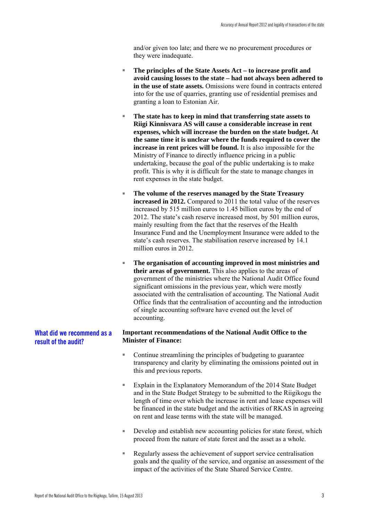and/or given too late; and there we no procurement procedures or they were inadequate.

- **The principles of the State Assets Act to increase profit and avoid causing losses to the state – had not always been adhered to in the use of state assets.** Omissions were found in contracts entered into for the use of quarries, granting use of residential premises and granting a loan to Estonian Air.
- The state has to keep in mind that transferring state assets to **Riigi Kinnisvara AS will cause a considerable increase in rent expenses, which will increase the burden on the state budget. At the same time it is unclear where the funds required to cover the increase in rent prices will be found.** It is also impossible for the Ministry of Finance to directly influence pricing in a public undertaking, because the goal of the public undertaking is to make profit. This is why it is difficult for the state to manage changes in rent expenses in the state budget.
- The volume of the reserves managed by the State Treasury **increased in 2012.** Compared to 2011 the total value of the reserves increased by 515 million euros to 1.45 billion euros by the end of 2012. The state's cash reserve increased most, by 501 million euros, mainly resulting from the fact that the reserves of the Health Insurance Fund and the Unemployment Insurance were added to the state's cash reserves. The stabilisation reserve increased by 14.1 million euros in 2012.
- The organisation of accounting improved in most ministries and **their areas of government.** This also applies to the areas of government of the ministries where the National Audit Office found significant omissions in the previous year, which were mostly associated with the centralisation of accounting. The National Audit Office finds that the centralisation of accounting and the introduction of single accounting software have evened out the level of accounting.

#### **Important recommendations of the National Audit Office to the Minister of Finance: What did we recommend as a result of the audit?**

- Continue streamlining the principles of budgeting to guarantee transparency and clarity by eliminating the omissions pointed out in this and previous reports.
- Explain in the Explanatory Memorandum of the 2014 State Budget and in the State Budget Strategy to be submitted to the Riigikogu the length of time over which the increase in rent and lease expenses will be financed in the state budget and the activities of RKAS in agreeing on rent and lease terms with the state will be managed.
- Develop and establish new accounting policies for state forest, which proceed from the nature of state forest and the asset as a whole.
- Regularly assess the achievement of support service centralisation goals and the quality of the service, and organise an assessment of the impact of the activities of the State Shared Service Centre.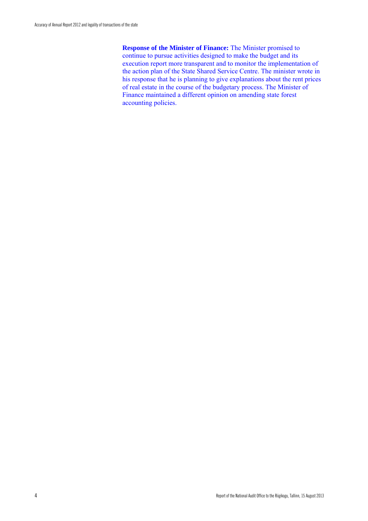**Response of the Minister of Finance:** The Minister promised to continue to pursue activities designed to make the budget and its execution report more transparent and to monitor the implementation of the action plan of the State Shared Service Centre. The minister wrote in his response that he is planning to give explanations about the rent prices of real estate in the course of the budgetary process. The Minister of Finance maintained a different opinion on amending state forest accounting policies.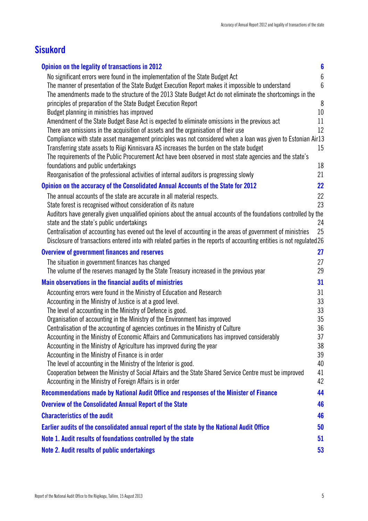## **Sisukord**

| Opinion on the legality of transactions in 2012                                                                                                                                                    | $6\phantom{a}$  |
|----------------------------------------------------------------------------------------------------------------------------------------------------------------------------------------------------|-----------------|
| No significant errors were found in the implementation of the State Budget Act                                                                                                                     | $6\,$           |
| The manner of presentation of the State Budget Execution Report makes it impossible to understand                                                                                                  | $6\phantom{1}6$ |
| The amendments made to the structure of the 2013 State Budget Act do not eliminate the shortcomings in the                                                                                         |                 |
| principles of preparation of the State Budget Execution Report                                                                                                                                     | 8               |
| Budget planning in ministries has improved                                                                                                                                                         | 10              |
| Amendment of the State Budget Base Act is expected to eliminate omissions in the previous act                                                                                                      | 11              |
| There are omissions in the acquisition of assets and the organisation of their use<br>Compliance with state asset management principles was not considered when a loan was given to Estonian Air13 | 12              |
| Transferring state assets to Riigi Kinnisvara AS increases the burden on the state budget                                                                                                          | 15              |
| The requirements of the Public Procurement Act have been observed in most state agencies and the state's                                                                                           |                 |
| foundations and public undertakings                                                                                                                                                                | 18              |
| Reorganisation of the professional activities of internal auditors is progressing slowly                                                                                                           | 21              |
| Opinion on the accuracy of the Consolidated Annual Accounts of the State for 2012                                                                                                                  | 22              |
| The annual accounts of the state are accurate in all material respects.                                                                                                                            | 22              |
| State forest is recognised without consideration of its nature                                                                                                                                     | 23              |
| Auditors have generally given unqualified opinions about the annual accounts of the foundations controlled by the                                                                                  |                 |
| state and the state's public undertakings                                                                                                                                                          | 24              |
| Centralisation of accounting has evened out the level of accounting in the areas of government of ministries                                                                                       | 25              |
| Disclosure of transactions entered into with related parties in the reports of accounting entities is not regulated26                                                                              |                 |
| <b>Overview of government finances and reserves</b>                                                                                                                                                | 27              |
| The situation in government finances has changed                                                                                                                                                   | 27              |
| The volume of the reserves managed by the State Treasury increased in the previous year                                                                                                            | 29              |
| <b>Main observations in the financial audits of ministries</b>                                                                                                                                     | 31              |
| Accounting errors were found in the Ministry of Education and Research                                                                                                                             | 31              |
| Accounting in the Ministry of Justice is at a good level.                                                                                                                                          | 33              |
| The level of accounting in the Ministry of Defence is good.<br>Organisation of accounting in the Ministry of the Environment has improved                                                          | 33<br>35        |
| Centralisation of the accounting of agencies continues in the Ministry of Culture                                                                                                                  | 36              |
| Accounting in the Ministry of Economic Affairs and Communications has improved considerably                                                                                                        | 37              |
| Accounting in the Ministry of Agriculture has improved during the year                                                                                                                             | 38              |
| Accounting in the Ministry of Finance is in order                                                                                                                                                  | 39              |
| The level of accounting in the Ministry of the Interior is good.                                                                                                                                   | 40              |
| Cooperation between the Ministry of Social Affairs and the State Shared Service Centre must be improved                                                                                            | 41              |
| Accounting in the Ministry of Foreign Affairs is in order                                                                                                                                          | 42              |
| Recommendations made by National Audit Office and responses of the Minister of Finance                                                                                                             | 44              |
| <b>Overview of the Consolidated Annual Report of the State</b>                                                                                                                                     | 46              |
| <b>Characteristics of the audit</b>                                                                                                                                                                | 46              |
| Earlier audits of the consolidated annual report of the state by the National Audit Office                                                                                                         | 50              |
| Note 1. Audit results of foundations controlled by the state                                                                                                                                       | 51              |
| <b>Note 2. Audit results of public undertakings</b>                                                                                                                                                | 53              |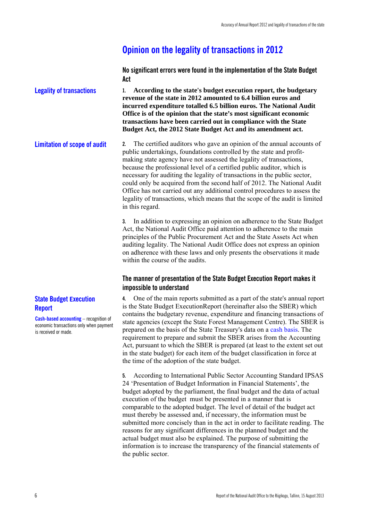## **Opinion on the legality of transactions in 2012**

**No significant errors were found in the implementation of the State Budget Act** 

**1. According to the state's budget execution report, the budgetary revenue of the state in 2012 amounted to 6.4 billion euros and incurred expenditure totalled 6.5 billion euros. The National Audit Office is of the opinion that the state's most significant economic transactions have been carried out in compliance with the State Budget Act, the 2012 State Budget Act and its amendment act. Legality of transactions** 

**2.** The certified auditors who gave an opinion of the annual accounts of public undertakings, foundations controlled by the state and profitmaking state agency have not assessed the legality of transactions, because the professional level of a certified public auditor, which is necessary for auditing the legality of transactions in the public sector, could only be acquired from the second half of 2012. The National Audit Office has not carried out any additional control procedures to assess the legality of transactions, which means that the scope of the audit is limited in this regard. **Limitation of scope of audit** 

> **3.** In addition to expressing an opinion on adherence to the State Budget Act, the National Audit Office paid attention to adherence to the main principles of the Public Procurement Act and the State Assets Act when auditing legality. The National Audit Office does not express an opinion on adherence with these laws and only presents the observations it made within the course of the audits.

#### **The manner of presentation of the State Budget Execution Report makes it impossible to understand**

**4.** One of the main reports submitted as a part of the state's annual report is the State Budget ExecutionReport (hereinafter also the SBER) which contains the budgetary revenue, expenditure and financing transactions of state agencies (except the State Forest Management Centre). The SBER is prepared on the basis of the State Treasury's data on a cash basis. The requirement to prepare and submit the SBER arises from the Accounting Act, pursuant to which the SBER is prepared (at least to the extent set out in the state budget) for each item of the budget classification in force at the time of the adoption of the state budget.

**5.** According to International Public Sector Accounting Standard IPSAS 24 'Presentation of Budget Information in Financial Statements', the budget adopted by the parliament, the final budget and the data of actual execution of the budget must be presented in a manner that is comparable to the adopted budget. The level of detail of the budget act must thereby be assessed and, if necessary, the information must be submitted more concisely than in the act in order to facilitate reading. The reasons for any significant differences in the planned budget and the actual budget must also be explained. The purpose of submitting the information is to increase the transparency of the financial statements of the public sector.

### **State Budget Execution Report**

**Cash-based accounting** – recognition of economic transactions only when payment is received or made.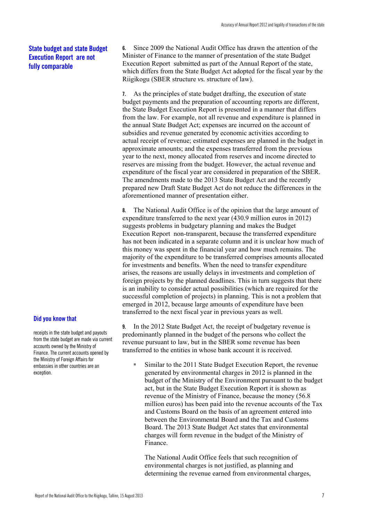### **State budget and state Budget Execution Report are not fully comparable**

**7.** As the principles of state budget drafting, the execution of state budget payments and the preparation of accounting reports are different, the State Budget Execution Report is presented in a manner that differs from the law. For example, not all revenue and expenditure is planned in the annual State Budget Act; expenses are incurred on the account of subsidies and revenue generated by economic activities according to actual receipt of revenue; estimated expenses are planned in the budget in approximate amounts; and the expenses transferred from the previous year to the next, money allocated from reserves and income directed to reserves are missing from the budget. However, the actual revenue and expenditure of the fiscal year are considered in preparation of the SBER. The amendments made to the 2013 State Budget Act and the recently prepared new Draft State Budget Act do not reduce the differences in the aforementioned manner of presentation either.

**6.** Since 2009 the National Audit Office has drawn the attention of the Minister of Finance to the manner of presentation of the state Budget Execution Report submitted as part of the Annual Report of the state, which differs from the State Budget Act adopted for the fiscal year by the

Riigikogu (SBER structure *vs.* structure of law).

**8.** The National Audit Office is of the opinion that the large amount of expenditure transferred to the next year (430.9 million euros in 2012) suggests problems in budgetary planning and makes the Budget Execution Report non-transparent, because the transferred expenditure has not been indicated in a separate column and it is unclear how much of this money was spent in the financial year and how much remains. The majority of the expenditure to be transferred comprises amounts allocated for investments and benefits. When the need to transfer expenditure arises, the reasons are usually delays in investments and completion of foreign projects by the planned deadlines. This in turn suggests that there is an inability to consider actual possibilities (which are required for the successful completion of projects) in planning. This is not a problem that emerged in 2012, because large amounts of expenditure have been transferred to the next fiscal year in previous years as well.

**9.** In the 2012 State Budget Act, the receipt of budgetary revenue is predominantly planned in the budget of the persons who collect the revenue pursuant to law, but in the SBER some revenue has been transferred to the entities in whose bank account it is received.

■ Similar to the 2011 State Budget Execution Report, the revenue generated by environmental charges in 2012 is planned in the budget of the Ministry of the Environment pursuant to the budget act, but in the State Budget Execution Report it is shown as revenue of the Ministry of Finance, because the money (56.8 million euros) has been paid into the revenue accounts of the Tax and Customs Board on the basis of an agreement entered into between the Environmental Board and the Tax and Customs Board. The 2013 State Budget Act states that environmental charges will form revenue in the budget of the Ministry of Finance.

The National Audit Office feels that such recognition of environmental charges is not justified, as planning and determining the revenue earned from environmental charges,

### **Did you know that**

receipts in the state budget and payouts from the state budget are made via current accounts owned by the Ministry of Finance. The current accounts opened by the Ministry of Foreign Affairs for embassies in other countries are an exception.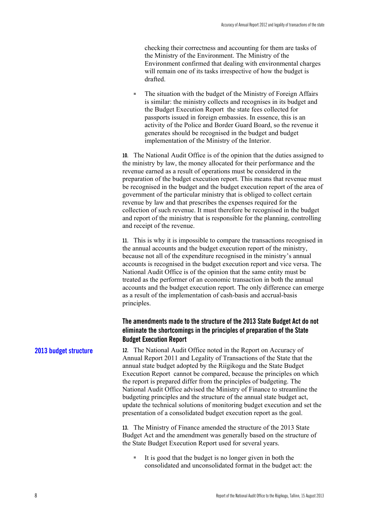checking their correctness and accounting for them are tasks of the Ministry of the Environment. The Ministry of the Environment confirmed that dealing with environmental charges will remain one of its tasks irrespective of how the budget is drafted.

■ The situation with the budget of the Ministry of Foreign Affairs is similar: the ministry collects and recognises in its budget and the Budget Execution Report the state fees collected for passports issued in foreign embassies. In essence, this is an activity of the Police and Border Guard Board, so the revenue it generates should be recognised in the budget and budget implementation of the Ministry of the Interior.

**10.** The National Audit Office is of the opinion that the duties assigned to the ministry by law, the money allocated for their performance and the revenue earned as a result of operations must be considered in the preparation of the budget execution report. This means that revenue must be recognised in the budget and the budget execution report of the area of government of the particular ministry that is obliged to collect certain revenue by law and that prescribes the expenses required for the collection of such revenue. It must therefore be recognised in the budget and report of the ministry that is responsible for the planning, controlling and receipt of the revenue.

**11.** This is why it is impossible to compare the transactions recognised in the annual accounts and the budget execution report of the ministry, because not all of the expenditure recognised in the ministry's annual accounts is recognised in the budget execution report and vice versa. The National Audit Office is of the opinion that the same entity must be treated as the performer of an economic transaction in both the annual accounts and the budget execution report. The only difference can emerge as a result of the implementation of cash-basis and accrual-basis principles.

### **The amendments made to the structure of the 2013 State Budget Act do not eliminate the shortcomings in the principles of preparation of the State Budget Execution Report**

**12.** The National Audit Office noted in the Report on Accuracy of Annual Report 2011 and Legality of Transactions of the State that the annual state budget adopted by the Riigikogu and the State Budget Execution Report cannot be compared, because the principles on which the report is prepared differ from the principles of budgeting. The National Audit Office advised the Ministry of Finance to streamline the budgeting principles and the structure of the annual state budget act, update the technical solutions of monitoring budget execution and set the presentation of a consolidated budget execution report as the goal.

> **13.** The Ministry of Finance amended the structure of the 2013 State Budget Act and the amendment was generally based on the structure of the State Budget Execution Report used for several years.

■ It is good that the budget is no longer given in both the consolidated and unconsolidated format in the budget act: the

#### **2013 budget structure**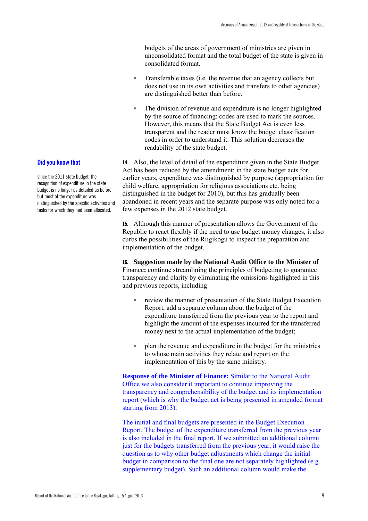budgets of the areas of government of ministries are given in unconsolidated format and the total budget of the state is given in consolidated format.

- Transferable taxes (i.e. the revenue that an agency collects but does not use in its own activities and transfers to other agencies) are distinguished better than before.
- The division of revenue and expenditure is no longer highlighted by the source of financing: codes are used to mark the sources. However, this means that the State Budget Act is even less transparent and the reader must know the budget classification codes in order to understand it. This solution decreases the readability of the state budget.

**14.** Also, the level of detail of the expenditure given in the State Budget Act has been reduced by the amendment: in the state budget acts for earlier years, expenditure was distinguished by purpose (appropriation for child welfare, appropriation for religious associations etc. being distinguished in the budget for 2010), but this has gradually been abandoned in recent years and the separate purpose was only noted for a few expenses in the 2012 state budget.

**15.** Although this manner of presentation allows the Government of the Republic to react flexibly if the need to use budget money changes, it also curbs the possibilities of the Riigikogu to inspect the preparation and implementation of the budget.

**16. Suggestion made by the National Audit Office to the Minister of**  Finance**:** continue streamlining the principles of budgeting to guarantee transparency and clarity by eliminating the omissions highlighted in this and previous reports, including

- review the manner of presentation of the State Budget Execution Report, add a separate column about the budget of the expenditure transferred from the previous year to the report and highlight the amount of the expenses incurred for the transferred money next to the actual implementation of the budget;
- plan the revenue and expenditure in the budget for the ministries to whose main activities they relate and report on the implementation of this by the same ministry.

**Response of the Minister of Finance:** Similar to the National Audit Office we also consider it important to continue improving the transparency and comprehensibility of the budget and its implementation report (which is why the budget act is being presented in amended format starting from 2013).

The initial and final budgets are presented in the Budget Execution Report. The budget of the expenditure transferred from the previous year is also included in the final report. If we submitted an additional column just for the budgets transferred from the previous year, it would raise the question as to why other budget adjustments which change the initial budget in comparison to the final one are not separately highlighted (e.g. supplementary budget). Such an additional column would make the

#### **Did you know that**

since the 2011 state budget, the recognition of expenditure in the state budget is no longer as detailed as before, but most of the expenditure was distinguished by the specific activities and tasks for which they had been allocated.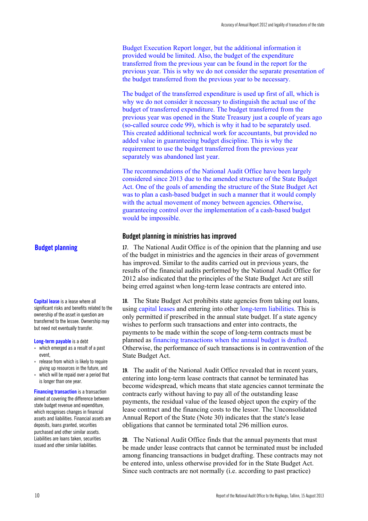Budget Execution Report longer, but the additional information it provided would be limited. Also, the budget of the expenditure transferred from the previous year can be found in the report for the previous year. This is why we do not consider the separate presentation of the budget transferred from the previous year to be necessary.

The budget of the transferred expenditure is used up first of all, which is why we do not consider it necessary to distinguish the actual use of the budget of transferred expenditure. The budget transferred from the previous year was opened in the State Treasury just a couple of years ago (so-called source code 99), which is why it had to be separately used. This created additional technical work for accountants, but provided no added value in guaranteeing budget discipline. This is why the requirement to use the budget transferred from the previous year separately was abandoned last year.

The recommendations of the National Audit Office have been largely considered since 2013 due to the amended structure of the State Budget Act. One of the goals of amending the structure of the State Budget Act was to plan a cash-based budget in such a manner that it would comply with the actual movement of money between agencies. Otherwise, guaranteeing control over the implementation of a cash-based budget would be impossible.

#### **Budget planning in ministries has improved**

#### **Budget planning**

**Capital lease** is a lease where all significant risks and benefits related to the ownership of the asset in question are transferred to the lessee. Ownership may but need not eventually transfer.

#### **Long-term payable** is a debt

- which emerged as a result of a past event
- release from which is likely to require giving up resources in the future, and
- which will be repaid over a period that is longer than one year.

**Financing transaction** is a transaction aimed at covering the difference between state budget revenue and expenditure, which recognises changes in financial assets and liabilities. Financial assets are deposits, loans granted, securities purchased and other similar assets. Liabilities are loans taken, securities issued and other similar liabilities.

**17.** The National Audit Office is of the opinion that the planning and use of the budget in ministries and the agencies in their areas of government has improved. Similar to the audits carried out in previous years, the results of the financial audits performed by the National Audit Office for 2012 also indicated that the principles of the State Budget Act are still being erred against when long-term lease contracts are entered into.

**18.** The State Budget Act prohibits state agencies from taking out loans, using capital leases and entering into other long-term liabilities. This is only permitted if prescribed in the annual state budget. If a state agency wishes to perform such transactions and enter into contracts, the payments to be made within the scope of long-term contracts must be planned as financing transactions when the annual budget is drafted. Otherwise, the performance of such transactions is in contravention of the State Budget Act.

**19.** The audit of the National Audit Office revealed that in recent years, entering into long-term lease contracts that cannot be terminated has become widespread, which means that state agencies cannot terminate the contracts early without having to pay all of the outstanding lease payments, the residual value of the leased object upon the expiry of the lease contract and the financing costs to the lessor. The Unconsolidated Annual Report of the State (Note 30) indicates that the state's lease obligations that cannot be terminated total 296 million euros.

**20.** The National Audit Office finds that the annual payments that must be made under lease contracts that cannot be terminated must be included among financing transactions in budget drafting. These contracts may not be entered into, unless otherwise provided for in the State Budget Act. Since such contracts are not normally (i.e. according to past practice)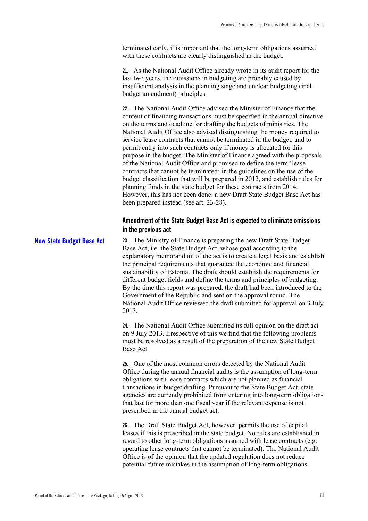terminated early, it is important that the long-term obligations assumed with these contracts are clearly distinguished in the budget.

**21.** As the National Audit Office already wrote in its audit report for the last two years, the omissions in budgeting are probably caused by insufficient analysis in the planning stage and unclear budgeting (incl. budget amendment) principles.

**22.** The National Audit Office advised the Minister of Finance that the content of financing transactions must be specified in the annual directive on the terms and deadline for drafting the budgets of ministries. The National Audit Office also advised distinguishing the money required to service lease contracts that cannot be terminated in the budget, and to permit entry into such contracts only if money is allocated for this purpose in the budget. The Minister of Finance agreed with the proposals of the National Audit Office and promised to define the term 'lease contracts that cannot be terminated' in the guidelines on the use of the budget classification that will be prepared in 2012, and establish rules for planning funds in the state budget for these contracts from 2014. However, this has not been done: a new Draft State Budget Base Act has been prepared instead (see art. 23-28).

### **Amendment of the State Budget Base Act is expected to eliminate omissions in the previous act**

**23.** The Ministry of Finance is preparing the new Draft State Budget Base Act, i.e. the State Budget Act, whose goal according to the explanatory memorandum of the act is to create a legal basis and establish the principal requirements that guarantee the economic and financial sustainability of Estonia. The draft should establish the requirements for different budget fields and define the terms and principles of budgeting. By the time this report was prepared, the draft had been introduced to the Government of the Republic and sent on the approval round. The National Audit Office reviewed the draft submitted for approval on 3 July 2013. **New State Budget Base Act** 

> **24.** The National Audit Office submitted its full opinion on the draft act on 9 July 2013. Irrespective of this we find that the following problems must be resolved as a result of the preparation of the new State Budget Base Act.

**25.** One of the most common errors detected by the National Audit Office during the annual financial audits is the assumption of long-term obligations with lease contracts which are not planned as financial transactions in budget drafting. Pursuant to the State Budget Act, state agencies are currently prohibited from entering into long-term obligations that last for more than one fiscal year if the relevant expense is not prescribed in the annual budget act.

**26.** The Draft State Budget Act, however, permits the use of capital leases if this is prescribed in the state budget. No rules are established in regard to other long-term obligations assumed with lease contracts (e.g. operating lease contracts that cannot be terminated). The National Audit Office is of the opinion that the updated regulation does not reduce potential future mistakes in the assumption of long-term obligations.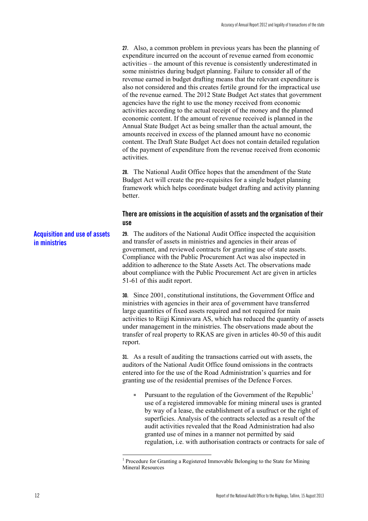**27.** Also, a common problem in previous years has been the planning of expenditure incurred on the account of revenue earned from economic activities – the amount of this revenue is consistently underestimated in some ministries during budget planning. Failure to consider all of the revenue earned in budget drafting means that the relevant expenditure is also not considered and this creates fertile ground for the impractical use of the revenue earned. The 2012 State Budget Act states that government agencies have the right to use the money received from economic activities according to the actual receipt of the money and the planned economic content. If the amount of revenue received is planned in the Annual State Budget Act as being smaller than the actual amount, the amounts received in excess of the planned amount have no economic content. The Draft State Budget Act does not contain detailed regulation of the payment of expenditure from the revenue received from economic activities.

**28.** The National Audit Office hopes that the amendment of the State Budget Act will create the pre-requisites for a single budget planning framework which helps coordinate budget drafting and activity planning better.

#### **There are omissions in the acquisition of assets and the organisation of their use**

**29.** The auditors of the National Audit Office inspected the acquisition and transfer of assets in ministries and agencies in their areas of government, and reviewed contracts for granting use of state assets. Compliance with the Public Procurement Act was also inspected in addition to adherence to the State Assets Act. The observations made about compliance with the Public Procurement Act are given in articles 51-61 of this audit report. **Acquisition and use of assets in ministries** 

**30.** Since 2001, constitutional institutions, the Government Office and ministries with agencies in their area of government have transferred large quantities of fixed assets required and not required for main activities to Riigi Kinnisvara AS, which has reduced the quantity of assets under management in the ministries. The observations made about the transfer of real property to RKAS are given in articles 40-50 of this audit report.

**31.** As a result of auditing the transactions carried out with assets, the auditors of the National Audit Office found omissions in the contracts entered into for the use of the Road Administration's quarries and for granting use of the residential premises of the Defence Forces.

**■** Pursuant to the regulation of the Government of the Republic<sup>1</sup> use of a registered immovable for mining mineral uses is granted by way of a lease, the establishment of a usufruct or the right of superficies. Analysis of the contracts selected as a result of the audit activities revealed that the Road Administration had also granted use of mines in a manner not permitted by said regulation, i.e. with authorisation contracts or contracts for sale of

<sup>&</sup>lt;sup>1</sup> Procedure for Granting a Registered Immovable Belonging to the State for Mining Mineral Resources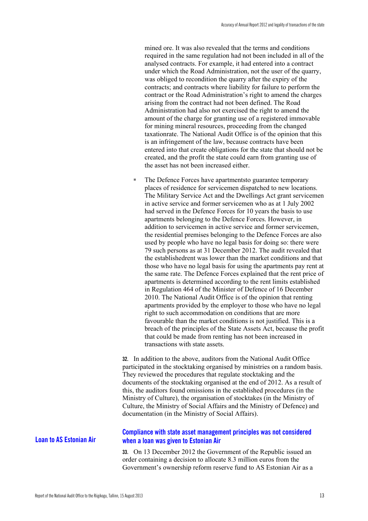mined ore. It was also revealed that the terms and conditions required in the same regulation had not been included in all of the analysed contracts. For example, it had entered into a contract under which the Road Administration, not the user of the quarry, was obliged to recondition the quarry after the expiry of the contracts; and contracts where liability for failure to perform the contract or the Road Administration's right to amend the charges arising from the contract had not been defined. The Road Administration had also not exercised the right to amend the amount of the charge for granting use of a registered immovable for mining mineral resources, proceeding from the changed taxationrate. The National Audit Office is of the opinion that this is an infringement of the law, because contracts have been entered into that create obligations for the state that should not be created, and the profit the state could earn from granting use of the asset has not been increased either.

■ The Defence Forces have apartmentsto guarantee temporary places of residence for servicemen dispatched to new locations. The Military Service Act and the Dwellings Act grant servicemen in active service and former servicemen who as at 1 July 2002 had served in the Defence Forces for 10 years the basis to use apartments belonging to the Defence Forces. However, in addition to servicemen in active service and former servicemen, the residential premises belonging to the Defence Forces are also used by people who have no legal basis for doing so: there were 79 such persons as at 31 December 2012. The audit revealed that the establishedrent was lower than the market conditions and that those who have no legal basis for using the apartments pay rent at the same rate. The Defence Forces explained that the rent price of apartments is determined according to the rent limits established in Regulation 464 of the Minister of Defence of 16 December 2010. The National Audit Office is of the opinion that renting apartments provided by the employer to those who have no legal right to such accommodation on conditions that are more favourable than the market conditions is not justified. This is a breach of the principles of the State Assets Act, because the profit that could be made from renting has not been increased in transactions with state assets.

**32.** In addition to the above, auditors from the National Audit Office participated in the stocktaking organised by ministries on a random basis. They reviewed the procedures that regulate stocktaking and the documents of the stocktaking organised at the end of 2012. As a result of this, the auditors found omissions in the established procedures (in the Ministry of Culture), the organisation of stocktakes (in the Ministry of Culture, the Ministry of Social Affairs and the Ministry of Defence) and documentation (in the Ministry of Social Affairs).

#### **Compliance with state asset management principles was not considered when a loan was given to Estonian Air**

**33.** On 13 December 2012 the Government of the Republic issued an order containing a decision to allocate 8.3 million euros from the Government's ownership reform reserve fund to AS Estonian Air as a

### **Loan to AS Estonian Air**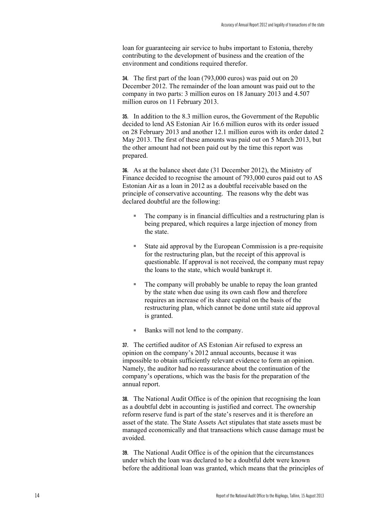loan for guaranteeing air service to hubs important to Estonia, thereby contributing to the development of business and the creation of the environment and conditions required therefor.

**34.** The first part of the loan (793,000 euros) was paid out on 20 December 2012. The remainder of the loan amount was paid out to the company in two parts: 3 million euros on 18 January 2013 and 4.507 million euros on 11 February 2013.

**35.** In addition to the 8.3 million euros, the Government of the Republic decided to lend AS Estonian Air 16.6 million euros with its order issued on 28 February 2013 and another 12.1 million euros with its order dated 2 May 2013. The first of these amounts was paid out on 5 March 2013, but the other amount had not been paid out by the time this report was prepared.

**36.** As at the balance sheet date (31 December 2012), the Ministry of Finance decided to recognise the amount of 793,000 euros paid out to AS Estonian Air as a loan in 2012 as a doubtful receivable based on the principle of conservative accounting. The reasons why the debt was declared doubtful are the following:

- The company is in financial difficulties and a restructuring plan is being prepared, which requires a large injection of money from the state.
- State aid approval by the European Commission is a pre-requisite for the restructuring plan, but the receipt of this approval is questionable. If approval is not received, the company must repay the loans to the state, which would bankrupt it.
- The company will probably be unable to repay the loan granted by the state when due using its own cash flow and therefore requires an increase of its share capital on the basis of the restructuring plan, which cannot be done until state aid approval is granted.
- Banks will not lend to the company.

**37.** The certified auditor of AS Estonian Air refused to express an opinion on the company's 2012 annual accounts, because it was impossible to obtain sufficiently relevant evidence to form an opinion. Namely, the auditor had no reassurance about the continuation of the company's operations, which was the basis for the preparation of the annual report.

**38.** The National Audit Office is of the opinion that recognising the loan as a doubtful debt in accounting is justified and correct. The ownership reform reserve fund is part of the state's reserves and it is therefore an asset of the state. The State Assets Act stipulates that state assets must be managed economically and that transactions which cause damage must be avoided.

**39.** The National Audit Office is of the opinion that the circumstances under which the loan was declared to be a doubtful debt were known before the additional loan was granted, which means that the principles of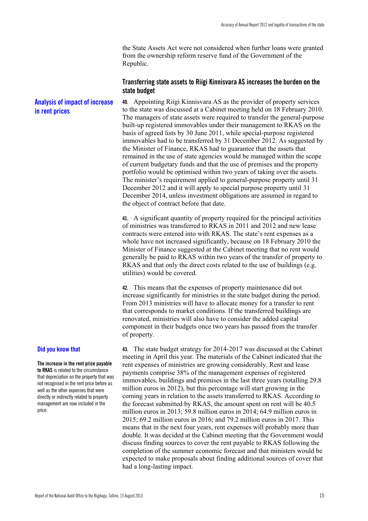the State Assets Act were not considered when further loans were granted from the ownership reform reserve fund of the Government of the Republic.

#### **Transferring state assets to Riigi Kinnisvara AS increases the burden on the state budget**

**40.** Appointing Riigi Kinnisvara AS as the provider of property services to the state was discussed at a Cabinet meeting held on 18 February 2010. The managers of state assets were required to transfer the general-purpose built-up registered immovables under their management to RKAS on the basis of agreed lists by 30 June 2011, while special-purpose registered immovables had to be transferred by 31 December 2012. As suggested by the Minister of Finance, RKAS had to guarantee that the assets that remained in the use of state agencies would be managed within the scope of current budgetary funds and that the use of premises and the property portfolio would be optimised within two years of taking over the assets. The minister's requirement applied to general-purpose property until 31 December 2012 and it will apply to special purpose property until 31 December 2014, unless investment obligations are assumed in regard to the object of contract before that date. **Analysis of impact of increase in rent prices** 

> **41.** A significant quantity of property required for the principal activities of ministries was transferred to RKAS in 2011 and 2012 and new lease contracts were entered into with RKAS. The state's rent expenses as a whole have not increased significantly, because on 18 February 2010 the Minister of Finance suggested at the Cabinet meeting that no rent would generally be paid to RKAS within two years of the transfer of property to RKAS and that only the direct costs related to the use of buildings (e.g. utilities) would be covered.

**42.** This means that the expenses of property maintenance did not increase significantly for ministries in the state budget during the period. From 2013 ministries will have to allocate money for a transfer to rent that corresponds to market conditions. If the transferred buildings are renovated, ministries will also have to consider the added capital component in their budgets once two years has passed from the transfer of property.

#### **Did you know that**

**The increase in the rent price payable to RKAS** is related to the circumstance that depreciation on the property that was not recognised in the rent price before as well as the other expenses that were directly or indirectly related to property management are now included in the price.

**43.** The state budget strategy for 2014-2017 was discussed at the Cabinet meeting in April this year. The materials of the Cabinet indicated that the rent expenses of ministries are growing considerably. Rent and lease payments comprise 38% of the management expenses of registered immovables, buildings and premises in the last three years (totalling 29.8 million euros in 2012), but this percentage will start growing in the coming years in relation to the assets transferred to RKAS. According to the forecast submitted by RKAS, the amount spent on rent will be 40.5 million euros in 2013; 59.8 million euros in 2014; 64.9 million euros in 2015; 69.2 million euros in 2016; and 79.2 million euros in 2017. This means that in the next four years, rent expenses will probably more than double. It was decided at the Cabinet meeting that the Government would discuss finding sources to cover the rent payable to RKAS following the completion of the summer economic forecast and that ministers would be expected to make proposals about finding additional sources of cover that had a long-lasting impact.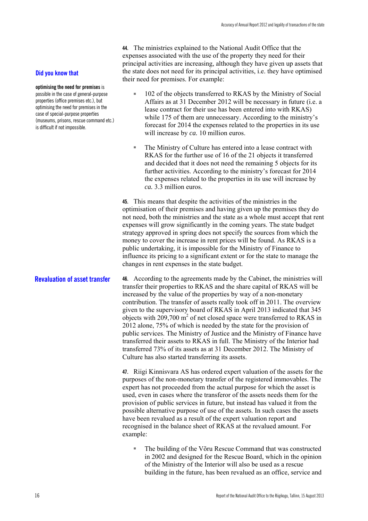**44.** The ministries explained to the National Audit Office that the expenses associated with the use of the property they need for their principal activities are increasing, although they have given up assets that the state does not need for its principal activities, i.e. they have optimised their need for premises. For example:

- 102 of the objects transferred to RKAS by the Ministry of Social Affairs as at 31 December 2012 will be necessary in future (i.e. a lease contract for their use has been entered into with RKAS) while 175 of them are unnecessary. According to the ministry's forecast for 2014 the expenses related to the properties in its use will increase by *ca.* 10 million euros.
- The Ministry of Culture has entered into a lease contract with RKAS for the further use of 16 of the 21 objects it transferred and decided that it does not need the remaining 5 objects for its further activities. According to the ministry's forecast for 2014 the expenses related to the properties in its use will increase by *ca.* 3.3 million euros.

**45.** This means that despite the activities of the ministries in the optimisation of their premises and having given up the premises they do not need, both the ministries and the state as a whole must accept that rent expenses will grow significantly in the coming years. The state budget strategy approved in spring does not specify the sources from which the money to cover the increase in rent prices will be found. As RKAS is a public undertaking, it is impossible for the Ministry of Finance to influence its pricing to a significant extent or for the state to manage the changes in rent expenses in the state budget.

**46.** According to the agreements made by the Cabinet, the ministries will transfer their properties to RKAS and the share capital of RKAS will be increased by the value of the properties by way of a non-monetary contribution. The transfer of assets really took off in 2011. The overview given to the supervisory board of RKAS in April 2013 indicated that 345 objects with  $209,700 \text{ m}^2$  of net closed space were transferred to RKAS in 2012 alone, 75% of which is needed by the state for the provision of public services. The Ministry of Justice and the Ministry of Finance have transferred their assets to RKAS in full. The Ministry of the Interior had transferred 73% of its assets as at 31 December 2012. The Ministry of Culture has also started transferring its assets. **Revaluation of asset transfer**

> **47.** Riigi Kinnisvara AS has ordered expert valuation of the assets for the purposes of the non-monetary transfer of the registered immovables. The expert has not proceeded from the actual purpose for which the asset is used, even in cases where the transferor of the assets needs them for the provision of public services in future, but instead has valued it from the possible alternative purpose of use of the assets. In such cases the assets have been revalued as a result of the expert valuation report and recognised in the balance sheet of RKAS at the revalued amount. For example:

■ The building of the Võru Rescue Command that was constructed in 2002 and designed for the Rescue Board, which in the opinion of the Ministry of the Interior will also be used as a rescue building in the future, has been revalued as an office, service and

#### **Did you know that**

**optimising the need for premises** is possible in the case of general-purpose properties (office premises etc.), but optimising the need for premises in the case of special-purpose properties (museums, prisons, rescue command etc.) is difficult if not impossible.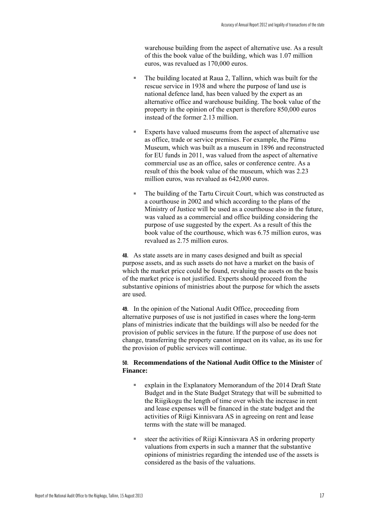warehouse building from the aspect of alternative use. As a result of this the book value of the building, which was 1.07 million euros, was revalued as 170,000 euros.

- The building located at Raua 2, Tallinn, which was built for the rescue service in 1938 and where the purpose of land use is national defence land, has been valued by the expert as an alternative office and warehouse building. The book value of the property in the opinion of the expert is therefore 850,000 euros instead of the former 2.13 million.
- Experts have valued museums from the aspect of alternative use as office, trade or service premises. For example, the Pärnu Museum, which was built as a museum in 1896 and reconstructed for EU funds in 2011, was valued from the aspect of alternative commercial use as an office, sales or conference centre. As a result of this the book value of the museum, which was 2.23 million euros, was revalued as 642,000 euros.
- The building of the Tartu Circuit Court, which was constructed as a courthouse in 2002 and which according to the plans of the Ministry of Justice will be used as a courthouse also in the future, was valued as a commercial and office building considering the purpose of use suggested by the expert. As a result of this the book value of the courthouse, which was 6.75 million euros, was revalued as 2.75 million euros.

**48.** As state assets are in many cases designed and built as special purpose assets, and as such assets do not have a market on the basis of which the market price could be found, revaluing the assets on the basis of the market price is not justified. Experts should proceed from the substantive opinions of ministries about the purpose for which the assets are used.

**49.** In the opinion of the National Audit Office, proceeding from alternative purposes of use is not justified in cases where the long-term plans of ministries indicate that the buildings will also be needed for the provision of public services in the future. If the purpose of use does not change, transferring the property cannot impact on its value, as its use for the provision of public services will continue.

#### **50. Recommendations of the National Audit Office to the Minister** of **Finance:**

- explain in the Explanatory Memorandum of the 2014 Draft State Budget and in the State Budget Strategy that will be submitted to the Riigikogu the length of time over which the increase in rent and lease expenses will be financed in the state budget and the activities of Riigi Kinnisvara AS in agreeing on rent and lease terms with the state will be managed.
- steer the activities of Riigi Kinnisvara AS in ordering property valuations from experts in such a manner that the substantive opinions of ministries regarding the intended use of the assets is considered as the basis of the valuations.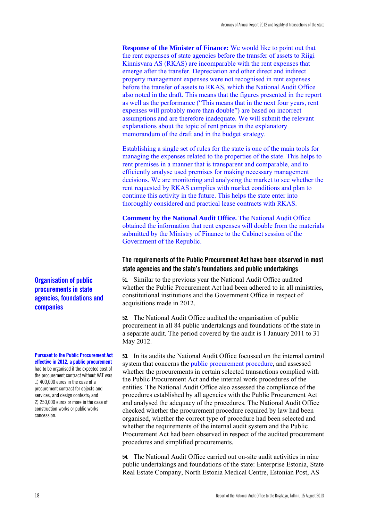**Response of the Minister of Finance:** We would like to point out that the rent expenses of state agencies before the transfer of assets to Riigi Kinnisvara AS (RKAS) are incomparable with the rent expenses that emerge after the transfer. Depreciation and other direct and indirect property management expenses were not recognised in rent expenses before the transfer of assets to RKAS, which the National Audit Office also noted in the draft. This means that the figures presented in the report as well as the performance ("This means that in the next four years, rent expenses will probably more than double") are based on incorrect assumptions and are therefore inadequate. We will submit the relevant explanations about the topic of rent prices in the explanatory memorandum of the draft and in the budget strategy.

Establishing a single set of rules for the state is one of the main tools for managing the expenses related to the properties of the state. This helps to rent premises in a manner that is transparent and comparable, and to efficiently analyse used premises for making necessary management decisions. We are monitoring and analysing the market to see whether the rent requested by RKAS complies with market conditions and plan to continue this activity in the future. This helps the state enter into thoroughly considered and practical lease contracts with RKAS.

**Comment by the National Audit Office.** The National Audit Office obtained the information that rent expenses will double from the materials submitted by the Ministry of Finance to the Cabinet session of the Government of the Republic.

#### **The requirements of the Public Procurement Act have been observed in most state agencies and the state's foundations and public undertakings**

**51.** Similar to the previous year the National Audit Office audited whether the Public Procurement Act had been adhered to in all ministries, constitutional institutions and the Government Office in respect of acquisitions made in 2012.

**52.** The National Audit Office audited the organisation of public procurement in all 84 public undertakings and foundations of the state in a separate audit. The period covered by the audit is 1 January 2011 to 31 May 2012.

**53.** In its audits the National Audit Office focussed on the internal control system that concerns the public procurement procedure, and assessed whether the procurements in certain selected transactions complied with the Public Procurement Act and the internal work procedures of the entities. The National Audit Office also assessed the compliance of the procedures established by all agencies with the Public Procurement Act and analysed the adequacy of the procedures. The National Audit Office checked whether the procurement procedure required by law had been organised, whether the correct type of procedure had been selected and whether the requirements of the internal audit system and the Public Procurement Act had been observed in respect of the audited procurement procedures and simplified procurements.

**54.** The National Audit Office carried out on-site audit activities in nine public undertakings and foundations of the state: Enterprise Estonia, State Real Estate Company, North Estonia Medical Centre, Estonian Post, AS

**Organisation of public procurements in state agencies, foundations and companies** 

#### **Pursuant to the Public Procurement Act effective in 2012, a public procurement**

had to be organised if the expected cost of the procurement contract without VAT was 1) 400,000 euros in the case of a procurement contract for objects and services, and design contests; and 2) 250,000 euros or more in the case of construction works or public works concession.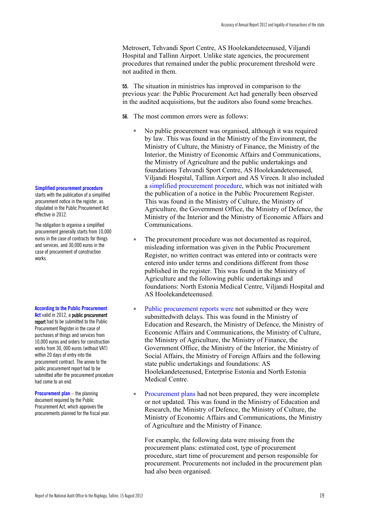Metrosert, Tehvandi Sport Centre, AS Hoolekandeteenused, Viljandi Hospital and Tallinn Airport. Unlike state agencies, the procurement procedures that remained under the public procurement threshold were not audited in them.

**55.** The situation in ministries has improved in comparison to the previous year: the Public Procurement Act had generally been observed in the audited acquisitions, but the auditors also found some breaches.

**56.** The most common errors were as follows:

- No public procurement was organised, although it was required by law. This was found in the Ministry of the Environment, the Ministry of Culture, the Ministry of Finance, the Ministry of the Interior, the Ministry of Economic Affairs and Communications, the Ministry of Agriculture and the public undertakings and foundations Tehvandi Sport Centre, AS Hoolekandeteenused, Viljandi Hospital, Tallinn Airport and AS Vireen. It also included a simplified procurement procedure, which was not initiated with the publication of a notice in the Public Procurement Register. This was found in the Ministry of Culture, the Ministry of Agriculture, the Government Office, the Ministry of Defence, the Ministry of the Interior and the Ministry of Economic Affairs and Communications.
- The procurement procedure was not documented as required, misleading information was given in the Public Procurement Register, no written contract was entered into or contracts were entered into under terms and conditions different from those published in the register. This was found in the Ministry of Agriculture and the following public undertakings and foundations: North Estonia Medical Centre, Viljandi Hospital and AS Hoolekandeteenused.
- Public procurement reports were not submitted or they were submittedwith delays. This was found in the Ministry of Education and Research, the Ministry of Defence, the Ministry of Economic Affairs and Communications, the Ministry of Culture, the Ministry of Agriculture, the Ministry of Finance, the Government Office, the Ministry of the Interior, the Ministry of Social Affairs, the Ministry of Foreign Affairs and the following state public undertakings and foundations: AS Hoolekandeteenused, Enterprise Estonia and North Estonia Medical Centre.
- Procurement plans had not been prepared, they were incomplete or not updated. This was found in the Ministry of Education and Research, the Ministry of Defence, the Ministry of Culture, the Ministry of Economic Affairs and Communications, the Ministry of Agriculture and the Ministry of Finance.

For example, the following data were missing from the procurement plans: estimated cost, type of procurement procedure, start time of procurement and person responsible for procurement. Procurements not included in the procurement plan had also been organised.

#### **Simplified procurement procedure**

starts with the publication of a simplified procurement notice in the register, as stipulated in the Public Procurement Act effective in 2012.

The obligation to organise a simplified procurement generally starts from 10,000 euros in the case of contracts for things and services, and 30,000 euros in the case of procurement of construction works.

**According to the Public Procurement** 

Act valid in 2012, a public procurement report had to be submitted to the Public Procurement Register in the case of purchases of things and services from 10,000 euros and orders for construction works from 30, 000 euros (without VAT) within 20 days of entry into the procurement contract. The annex to the public procurement report had to be submitted after the procurement procedure had come to an end.

**Procurement plan** – the planning document required by the Public Procurement Act, which approves the procurements planned for the fiscal year.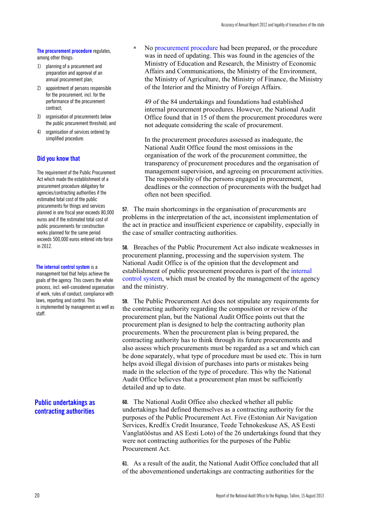#### **The procurement procedure** regulates,

among other things:

- 1) planning of a procurement and preparation and approval of an annual procurement plan;
- 2) appointment of persons responsible for the procurement, incl. for the performance of the procurement contract;
- 3) organisation of procurements below the public procurement threshold; and
- 4) organisation of services ordered by simplified procedure.

#### **Did you know that**

The requirement of the Public Procurement Act which made the establishment of a procurement procedure obligatory for agencies/contracting authorities if the estimated total cost of the public procurements for things and services planned in one fiscal year exceeds 80,000 euros and if the estimated total cost of public procurements for construction works planned for the same period exceeds 500,000 euros entered into force in 2012.

#### **The internal control system** is a

management tool that helps achieve the goals of the agency. This covers the whole process, incl. well-considered organisation of work, rules of conduct, compliance with laws, reporting and control. This is implemented by management as well as staff.

### **Public undertakings as contracting authorities**

No procurement procedure had been prepared, or the procedure was in need of updating. This was found in the agencies of the Ministry of Education and Research, the Ministry of Economic Affairs and Communications, the Ministry of the Environment, the Ministry of Agriculture, the Ministry of Finance, the Ministry of the Interior and the Ministry of Foreign Affairs.

49 of the 84 undertakings and foundations had established internal procurement procedures. However, the National Audit Office found that in 15 of them the procurement procedures were not adequate considering the scale of procurement.

In the procurement procedures assessed as inadequate, the National Audit Office found the most omissions in the organisation of the work of the procurement committee, the transparency of procurement procedures and the organisation of management supervision, and agreeing on procurement activities. The responsibility of the persons engaged in procurement, deadlines or the connection of procurements with the budget had often not been specified.

**57.** The main shortcomings in the organisation of procurements are problems in the interpretation of the act, inconsistent implementation of the act in practice and insufficient experience or capability, especially in the case of smaller contracting authorities.

**58.** Breaches of the Public Procurement Act also indicate weaknesses in procurement planning, processing and the supervision system. The National Audit Office is of the opinion that the development and establishment of public procurement procedures is part of the internal control system, which must be created by the management of the agency and the ministry.

**59.** The Public Procurement Act does not stipulate any requirements for the contracting authority regarding the composition or review of the procurement plan, but the National Audit Office points out that the procurement plan is designed to help the contracting authority plan procurements. When the procurement plan is being prepared, the contracting authority has to think through its future procurements and also assess which procurements must be regarded as a set and which can be done separately, what type of procedure must be used etc. This in turn helps avoid illegal division of purchases into parts or mistakes being made in the selection of the type of procedure. This why the National Audit Office believes that a procurement plan must be sufficiently detailed and up to date.

**60.** The National Audit Office also checked whether all public undertakings had defined themselves as a contracting authority for the purposes of the Public Procurement Act. Five (Estonian Air Navigation Services, KredEx Credit Insurance, Teede Tehnokeskuse AS, AS Eesti Vanglatööstus and AS Eesti Loto) of the 26 undertakings found that they were not contracting authorities for the purposes of the Public Procurement Act.

**61.** As a result of the audit, the National Audit Office concluded that all of the abovementioned undertakings are contracting authorities for the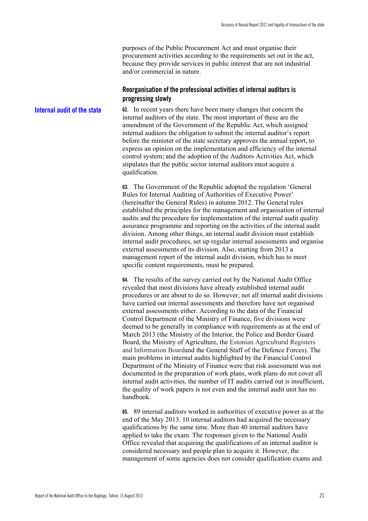purposes of the Public Procurement Act and must organise their procurement activities according to the requirements set out in the act, because they provide services in public interest that are not industrial and/or commercial in nature.

#### **Reorganisation of the professional activities of internal auditors is progressing slowly**

**62.** In recent years there have been many changes that concern the internal auditors of the state. The most important of these are the amendment of the Government of the Republic Act, which assigned internal auditors the obligation to submit the internal auditor's report before the minister of the state secretary approves the annual report, to express an opinion on the implementation and efficiency of the internal control system; and the adoption of the Auditors Activities Act, which stipulates that the public sector internal auditors must acquire a qualification. **Internal audit of the state** 

> **63.** The Government of the Republic adopted the regulation 'General Rules for Internal Auditing of Authorities of Executive Power' (hereinafter the General Rules) in autumn 2012. The General rules established the principles for the management and organisation of internal audits and the procedure for implementation of the internal audit quality assurance programme and reporting on the activities of the internal audit division. Among other things, an internal audit division must establish internal audit procedures, set up regular internal assessments and organise external assessments of its division. Also, starting from 2013 a management report of the internal audit division, which has to meet specific content requirements, must be prepared.

> **64.** The results of the survey carried out by the National Audit Office revealed that most divisions have already established internal audit procedures or are about to do so. However, not all internal audit divisions have carried out internal assessments and therefore have not organised external assessments either. According to the data of the Financial Control Department of the Ministry of Finance, five divisions were deemed to be generally in compliance with requirements as at the end of March 2013 (the Ministry of the Interior, the Police and Border Guard Board, the Ministry of Agriculture, the Estonian Agricultural Registers and Information Boardand the General Staff of the Defence Forces). The main problems in internal audits highlighted by the Financial Control Department of the Ministry of Finance were that risk assessment was not documented in the preparation of work plans, work plans do not cover all internal audit activities, the number of IT audits carried out is insufficient, the quality of work papers is not even and the internal audit unit has no handbook.

> **65.** 89 internal auditors worked in authorities of executive power as at the end of the May 2013. 10 internal auditors had acquired the necessary qualifications by the same time. More than 40 internal auditors have applied to take the exam. The responses given to the National Audit Office revealed that acquiring the qualifications of an internal auditor is considered necessary and people plan to acquire it. However, the management of some agencies does not consider qualification exams and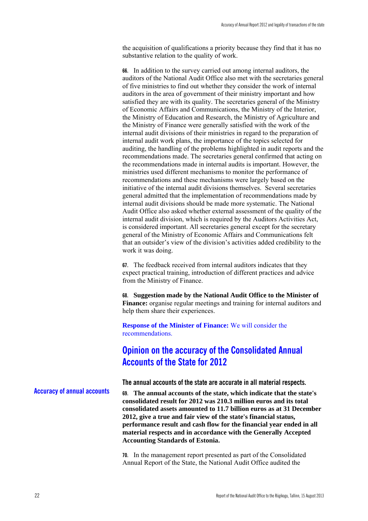the acquisition of qualifications a priority because they find that it has no substantive relation to the quality of work.

**66.** In addition to the survey carried out among internal auditors, the auditors of the National Audit Office also met with the secretaries general of five ministries to find out whether they consider the work of internal auditors in the area of government of their ministry important and how satisfied they are with its quality. The secretaries general of the Ministry of Economic Affairs and Communications, the Ministry of the Interior, the Ministry of Education and Research, the Ministry of Agriculture and the Ministry of Finance were generally satisfied with the work of the internal audit divisions of their ministries in regard to the preparation of internal audit work plans, the importance of the topics selected for auditing, the handling of the problems highlighted in audit reports and the recommendations made. The secretaries general confirmed that acting on the recommendations made in internal audits is important. However, the ministries used different mechanisms to monitor the performance of recommendations and these mechanisms were largely based on the initiative of the internal audit divisions themselves. Several secretaries general admitted that the implementation of recommendations made by internal audit divisions should be made more systematic. The National Audit Office also asked whether external assessment of the quality of the internal audit division, which is required by the Auditors Activities Act, is considered important. All secretaries general except for the secretary general of the Ministry of Economic Affairs and Communications felt that an outsider's view of the division's activities added credibility to the work it was doing.

**67.** The feedback received from internal auditors indicates that they expect practical training, introduction of different practices and advice from the Ministry of Finance.

**68. Suggestion made by the National Audit Office to the Minister of Finance:** organise regular meetings and training for internal auditors and help them share their experiences.

**Response of the Minister of Finance:** We will consider the recommendations.

## **Opinion on the accuracy of the Consolidated Annual Accounts of the State for 2012**

**The annual accounts of the state are accurate in all material respects.** 

**69. The annual accounts of the state, which indicate that the state's consolidated result for 2012 was 210.3 million euros and its total consolidated assets amounted to 11.7 billion euros as at 31 December 2012, give a true and fair view of the state's financial status, performance result and cash flow for the financial year ended in all material respects and in accordance with the Generally Accepted Accounting Standards of Estonia. Accuracy of annual accounts**

> **70.** In the management report presented as part of the Consolidated Annual Report of the State, the National Audit Office audited the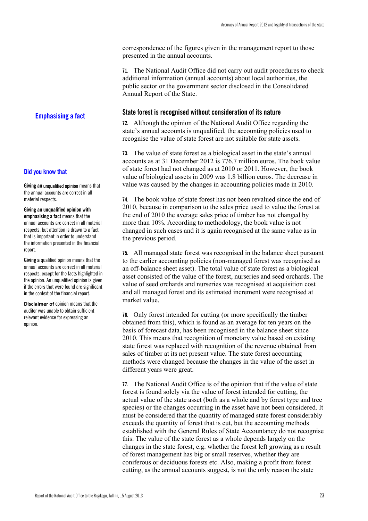correspondence of the figures given in the management report to those presented in the annual accounts.

**71.** The National Audit Office did not carry out audit procedures to check additional information (annual accounts) about local authorities, the public sector or the government sector disclosed in the Consolidated Annual Report of the State.

#### **State forest is recognised without consideration of its nature**

**72.** Although the opinion of the National Audit Office regarding the state's annual accounts is unqualified, the accounting policies used to recognise the value of state forest are not suitable for state assets.

**73.** The value of state forest as a biological asset in the state's annual accounts as at 31 December 2012 is 776.7 million euros. The book value of state forest had not changed as at 2010 or 2011. However, the book value of biological assets in 2009 was 1.8 billion euros. The decrease in value was caused by the changes in accounting policies made in 2010.

**74.** The book value of state forest has not been revalued since the end of 2010, because in comparison to the sales price used to value the forest at the end of 2010 the average sales price of timber has not changed by more than 10%. According to methodology, the book value is not changed in such cases and it is again recognised at the same value as in the previous period.

**75.** All managed state forest was recognised in the balance sheet pursuant to the earlier accounting policies (non-managed forest was recognised as an off-balance sheet asset). The total value of state forest as a biological asset consisted of the value of the forest, nurseries and seed orchards. The value of seed orchards and nurseries was recognised at acquisition cost and all managed forest and its estimated increment were recognised at market value.

**76.** Only forest intended for cutting (or more specifically the timber obtained from this), which is found as an average for ten years on the basis of forecast data, has been recognised in the balance sheet since 2010. This means that recognition of monetary value based on existing state forest was replaced with recognition of the revenue obtained from sales of timber at its net present value. The state forest accounting methods were changed because the changes in the value of the asset in different years were great.

**77.** The National Audit Office is of the opinion that if the value of state forest is found solely via the value of forest intended for cutting, the actual value of the state asset (both as a whole and by forest type and tree species) or the changes occurring in the asset have not been considered. It must be considered that the quantity of managed state forest considerably exceeds the quantity of forest that is cut, but the accounting methods established with the General Rules of State Accountancy do not recognise this. The value of the state forest as a whole depends largely on the changes in the state forest, e.g. whether the forest left growing as a result of forest management has big or small reserves, whether they are coniferous or deciduous forests etc. Also, making a profit from forest cutting, as the annual accounts suggest, is not the only reason the state

**Emphasising a fact** 

#### **Did you know that**

**Giving an** unqualified opinion means that the annual accounts are correct in all material respects.

**Giving an unqualified opinion with emphasising a fact** means that the annual accounts are correct in all material respects, but attention is drawn to a fact that is important in order to understand the information presented in the financial report.

**Giving a** qualified opinion means that the annual accounts are correct in all material respects, except for the facts highlighted in the opinion. An unqualified opinion is given if the errors that were found are significant in the context of the financial report.

**Disclaimer of** opinion means that the auditor was unable to obtain sufficient relevant evidence for expressing an opinion.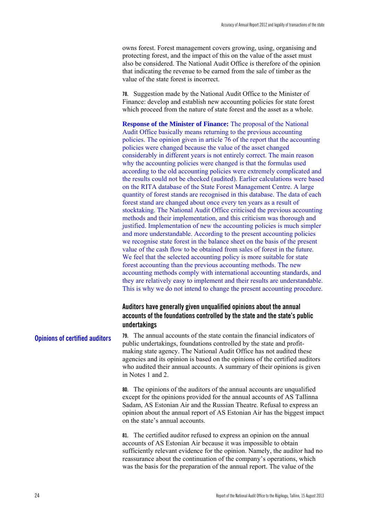owns forest. Forest management covers growing, using, organising and protecting forest, and the impact of this on the value of the asset must also be considered. The National Audit Office is therefore of the opinion that indicating the revenue to be earned from the sale of timber as the value of the state forest is incorrect.

**78.** Suggestion made by the National Audit Office to the Minister of Finance: develop and establish new accounting policies for state forest which proceed from the nature of state forest and the asset as a whole.

**Response of the Minister of Finance:** The proposal of the National Audit Office basically means returning to the previous accounting policies. The opinion given in article 76 of the report that the accounting policies were changed because the value of the asset changed considerably in different years is not entirely correct. The main reason why the accounting policies were changed is that the formulas used according to the old accounting policies were extremely complicated and the results could not be checked (audited). Earlier calculations were based on the RITA database of the State Forest Management Centre. A large quantity of forest stands are recognised in this database. The data of each forest stand are changed about once every ten years as a result of stocktaking. The National Audit Office criticised the previous accounting methods and their implementation, and this criticism was thorough and justified. Implementation of new the accounting policies is much simpler and more understandable. According to the present accounting policies we recognise state forest in the balance sheet on the basis of the present value of the cash flow to be obtained from sales of forest in the future. We feel that the selected accounting policy is more suitable for state forest accounting than the previous accounting methods. The new accounting methods comply with international accounting standards, and they are relatively easy to implement and their results are understandable. This is why we do not intend to change the present accounting procedure.

### **Auditors have generally given unqualified opinions about the annual accounts of the foundations controlled by the state and the state's public undertakings**

**79.** The annual accounts of the state contain the financial indicators of public undertakings, foundations controlled by the state and profitmaking state agency. The National Audit Office has not audited these agencies and its opinion is based on the opinions of the certified auditors who audited their annual accounts. A summary of their opinions is given in Notes 1 and 2. **Opinions of certified auditors**

> **80.** The opinions of the auditors of the annual accounts are unqualified except for the opinions provided for the annual accounts of AS Tallinna Sadam, AS Estonian Air and the Russian Theatre. Refusal to express an opinion about the annual report of AS Estonian Air has the biggest impact on the state's annual accounts.

> **81.** The certified auditor refused to express an opinion on the annual accounts of AS Estonian Air because it was impossible to obtain sufficiently relevant evidence for the opinion. Namely, the auditor had no reassurance about the continuation of the company's operations, which was the basis for the preparation of the annual report. The value of the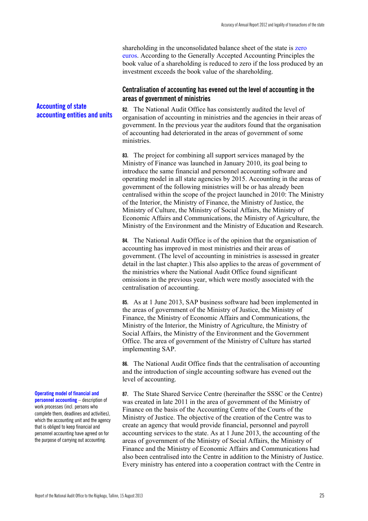shareholding in the unconsolidated balance sheet of the state is zero euros. According to the Generally Accepted Accounting Principles the book value of a shareholding is reduced to zero if the loss produced by an investment exceeds the book value of the shareholding.

#### **Centralisation of accounting has evened out the level of accounting in the areas of government of ministries**

**82.** The National Audit Office has consistently audited the level of organisation of accounting in ministries and the agencies in their areas of government. In the previous year the auditors found that the organisation of accounting had deteriorated in the areas of government of some ministries.

**83.** The project for combining all support services managed by the Ministry of Finance was launched in January 2010, its goal being to introduce the same financial and personnel accounting software and operating model in all state agencies by 2015. Accounting in the areas of government of the following ministries will be or has already been centralised within the scope of the project launched in 2010: The Ministry of the Interior, the Ministry of Finance, the Ministry of Justice, the Ministry of Culture, the Ministry of Social Affairs, the Ministry of Economic Affairs and Communications, the Ministry of Agriculture, the Ministry of the Environment and the Ministry of Education and Research.

**84.** The National Audit Office is of the opinion that the organisation of accounting has improved in most ministries and their areas of government. (The level of accounting in ministries is assessed in greater detail in the last chapter.) This also applies to the areas of government of the ministries where the National Audit Office found significant omissions in the previous year, which were mostly associated with the centralisation of accounting.

**85.** As at 1 June 2013, SAP business software had been implemented in the areas of government of the Ministry of Justice, the Ministry of Finance, the Ministry of Economic Affairs and Communications, the Ministry of the Interior, the Ministry of Agriculture, the Ministry of Social Affairs, the Ministry of the Environment and the Government Office. The area of government of the Ministry of Culture has started implementing SAP.

**86.** The National Audit Office finds that the centralisation of accounting and the introduction of single accounting software has evened out the level of accounting.

**87.** The State Shared Service Centre (hereinafter the SSSC or the Centre) was created in late 2011 in the area of government of the Ministry of Finance on the basis of the Accounting Centre of the Courts of the Ministry of Justice. The objective of the creation of the Centre was to create an agency that would provide financial, personnel and payroll accounting services to the state. As at 1 June 2013, the accounting of the areas of government of the Ministry of Social Affairs, the Ministry of Finance and the Ministry of Economic Affairs and Communications had also been centralised into the Centre in addition to the Ministry of Justice. Every ministry has entered into a cooperation contract with the Centre in

### **Accounting of state accounting entities and units**

#### **Operating model of financial and**

**personnel accounting** – description of work processes (incl. persons who complete them, deadlines and activities), which the accounting unit and the agency that is obliged to keep financial and personnel accounting have agreed on for the purpose of carrying out accounting.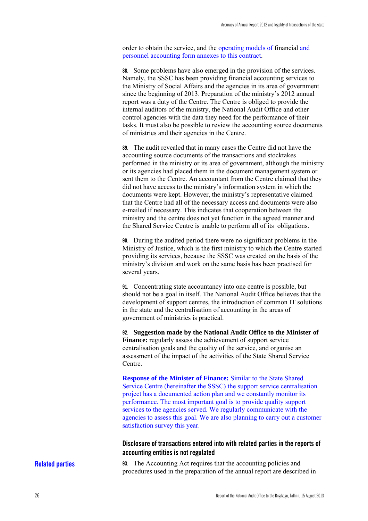order to obtain the service, and the operating models of financial and personnel accounting form annexes to this contract.

**88.** Some problems have also emerged in the provision of the services. Namely, the SSSC has been providing financial accounting services to the Ministry of Social Affairs and the agencies in its area of government since the beginning of 2013. Preparation of the ministry's 2012 annual report was a duty of the Centre. The Centre is obliged to provide the internal auditors of the ministry, the National Audit Office and other control agencies with the data they need for the performance of their tasks. It must also be possible to review the accounting source documents of ministries and their agencies in the Centre.

**89.** The audit revealed that in many cases the Centre did not have the accounting source documents of the transactions and stocktakes performed in the ministry or its area of government, although the ministry or its agencies had placed them in the document management system or sent them to the Centre. An accountant from the Centre claimed that they did not have access to the ministry's information system in which the documents were kept. However, the ministry's representative claimed that the Centre had all of the necessary access and documents were also e-mailed if necessary. This indicates that cooperation between the ministry and the centre does not yet function in the agreed manner and the Shared Service Centre is unable to perform all of its obligations.

**90.** During the audited period there were no significant problems in the Ministry of Justice, which is the first ministry to which the Centre started providing its services, because the SSSC was created on the basis of the ministry's division and work on the same basis has been practised for several years.

**91.** Concentrating state accountancy into one centre is possible, but should not be a goal in itself. The National Audit Office believes that the development of support centres, the introduction of common IT solutions in the state and the centralisation of accounting in the areas of government of ministries is practical.

**92. Suggestion made by the National Audit Office to the Minister of Finance:** regularly assess the achievement of support service centralisation goals and the quality of the service, and organise an assessment of the impact of the activities of the State Shared Service Centre.

**Response of the Minister of Finance:** Similar to the State Shared Service Centre (hereinafter the SSSC) the support service centralisation project has a documented action plan and we constantly monitor its performance. The most important goal is to provide quality support services to the agencies served. We regularly communicate with the agencies to assess this goal. We are also planning to carry out a customer satisfaction survey this year.

### **Disclosure of transactions entered into with related parties in the reports of accounting entities is not regulated**

#### **Related parties**

**93.** The Accounting Act requires that the accounting policies and procedures used in the preparation of the annual report are described in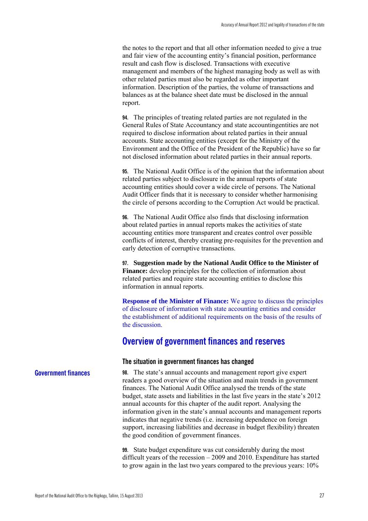the notes to the report and that all other information needed to give a true and fair view of the accounting entity's financial position, performance result and cash flow is disclosed. Transactions with executive management and members of the highest managing body as well as with other related parties must also be regarded as other important information. Description of the parties, the volume of transactions and balances as at the balance sheet date must be disclosed in the annual report.

**94.** The principles of treating related parties are not regulated in the General Rules of State Accountancy and state accountingentities are not required to disclose information about related parties in their annual accounts. State accounting entities (except for the Ministry of the Environment and the Office of the President of the Republic) have so far not disclosed information about related parties in their annual reports.

**95.** The National Audit Office is of the opinion that the information about related parties subject to disclosure in the annual reports of state accounting entities should cover a wide circle of persons. The National Audit Officer finds that it is necessary to consider whether harmonising the circle of persons according to the Corruption Act would be practical.

**96.** The National Audit Office also finds that disclosing information about related parties in annual reports makes the activities of state accounting entities more transparent and creates control over possible conflicts of interest, thereby creating pre-requisites for the prevention and early detection of corruptive transactions.

**97. Suggestion made by the National Audit Office to the Minister of Finance:** develop principles for the collection of information about related parties and require state accounting entities to disclose this information in annual reports.

**Response of the Minister of Finance:** We agree to discuss the principles of disclosure of information with state accounting entities and consider the establishment of additional requirements on the basis of the results of the discussion.

### **Overview of government finances and reserves**

#### **The situation in government finances has changed**

**98.** The state's annual accounts and management report give expert readers a good overview of the situation and main trends in government finances. The National Audit Office analysed the trends of the state budget, state assets and liabilities in the last five years in the state's 2012 annual accounts for this chapter of the audit report. Analysing the information given in the state's annual accounts and management reports indicates that negative trends (i.e. increasing dependence on foreign support, increasing liabilities and decrease in budget flexibility) threaten the good condition of government finances.

> **99.** State budget expenditure was cut considerably during the most difficult years of the recession – 2009 and 2010. Expenditure has started to grow again in the last two years compared to the previous years: 10%

#### **Government finances**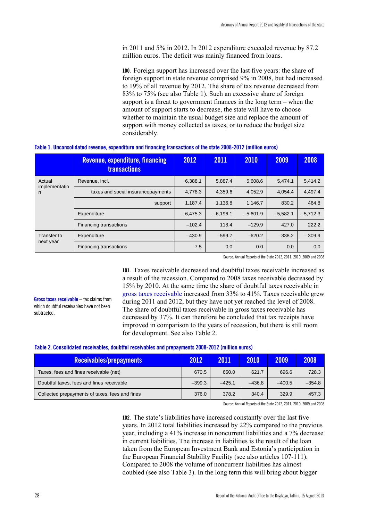in 2011 and 5% in 2012. In 2012 expenditure exceeded revenue by 87.2 million euros. The deficit was mainly financed from loans.

**100.** Foreign support has increased over the last five years: the share of foreign support in state revenue comprised 9% in 2008, but had increased to 19% of all revenue by 2012. The share of tax revenue decreased from 83% to 75% (see also Table 1). Such an excessive share of foreign support is a threat to government finances in the long term – when the amount of support starts to decrease, the state will have to choose whether to maintain the usual budget size and replace the amount of support with money collected as taxes, or to reduce the budget size considerably.

|                    | <b>Revenue, expenditure, financing</b><br><b>transactions</b> | 2012       | 2011       | 2010       | 2009       | 2008       |
|--------------------|---------------------------------------------------------------|------------|------------|------------|------------|------------|
| Actual             | Revenue, incl.                                                | 6.388.1    | 5,887.4    | 5,608.6    | 5,474.1    | 5,414.2    |
| implementatio<br>n | taxes and social insurancepayments                            | 4,778.3    | 4,359.6    | 4.052.9    | 4.054.4    | 4,497.4    |
|                    | support                                                       | 1,187.4    | 1,136.8    | 1.146.7    | 830.2      | 464.8      |
|                    | Expenditure                                                   | $-6.475.3$ | $-6,196.1$ | $-5.601.9$ | $-5,582.1$ | $-5,712.3$ |
|                    | Financing transactions                                        | $-102.4$   | 118.4      | $-129.9$   | 427.0      | 222.2      |
| Transfer to        | Expenditure                                                   | $-430.9$   | $-599.7$   | $-620.2$   | $-338.2$   | $-309.9$   |
| next year          | Financing transactions                                        | $-7.5$     | 0.0        | 0.0        | 0.0        | 0.0        |

#### **Table 1. Unconsolidated revenue, expenditure and financing transactions of the state 2008-2012 (million euros)**

Source: Annual Reports of the State 2012, 2011, 2010, 2009 and 2008

**101.** Taxes receivable decreased and doubtful taxes receivable increased as a result of the recession. Compared to 2008 taxes receivable decreased by 15% by 2010. At the same time the share of doubtful taxes receivable in gross taxes receivable increased from 33% to 41%. Taxes receivable grew during 2011 and 2012, but they have not yet reached the level of 2008. The share of doubtful taxes receivable in gross taxes receivable has decreased by 37%. It can therefore be concluded that tax receipts have improved in comparison to the years of recession, but there is still room for development. See also Table 2.

#### **Table 2. Consolidated receivables, doubtful receivables and prepayments 2008-2012 (million euros)**

| <b>Receivables/prepayments</b>                 | 2012     | 2011     | 2010     | 2009     | 2008     |
|------------------------------------------------|----------|----------|----------|----------|----------|
| Taxes, fees and fines receivable (net)         | 670.5    | 650.0    | 621.7    | 696.6    | 728.3    |
| Doubtful taxes, fees and fines receivable      | $-399.3$ | $-425.1$ | $-436.8$ | $-400.5$ | $-354.8$ |
| Collected prepayments of taxes, fees and fines | 376.0    | 378.2    | 340.4    | 329.9    | 457.3    |

Source: Annual Reports of the State 2012, 2011, 2010, 2009 and 2008

**102.** The state's liabilities have increased constantly over the last five years. In 2012 total liabilities increased by 22% compared to the previous year, including a 41% increase in noncurrent liabilities and a 7% decrease in current liabilities. The increase in liabilities is the result of the loan taken from the European Investment Bank and Estonia's participation in the European Financial Stability Facility (see also articles 107-111). Compared to 2008 the volume of noncurrent liabilities has almost doubled (see also Table 3). In the long term this will bring about bigger

**Gross taxes receivable** – tax claims from which doubtful receivables have not been

subtracted.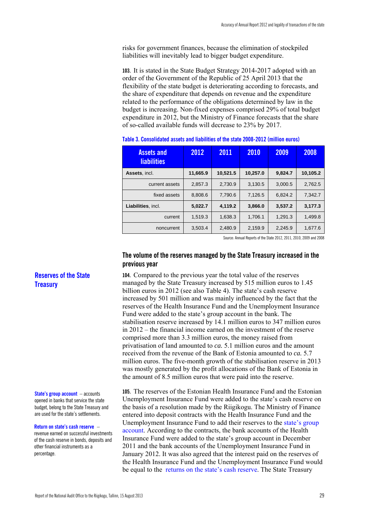risks for government finances, because the elimination of stockpiled liabilities will inevitably lead to bigger budget expenditure.

**103.** It is stated in the State Budget Strategy 2014-2017 adopted with an order of the Government of the Republic of 25 April 2013 that the flexibility of the state budget is deteriorating according to forecasts, and the share of expenditure that depends on revenue and the expenditure related to the performance of the obligations determined by law in the budget is increasing. Non-fixed expenses comprised 29% of total budget expenditure in 2012, but the Ministry of Finance forecasts that the share of so-called available funds will decrease to 23% by 2017.

| <b>Assets and</b><br><b>liabilities</b> | 2012     | 2011     | 2010     | 2009    | 2008     |
|-----------------------------------------|----------|----------|----------|---------|----------|
| Assets, incl.                           | 11,665.9 | 10,521.5 | 10.257.0 | 9.824.7 | 10,105.2 |
| current assets                          | 2.857.3  | 2.730.9  | 3.130.5  | 3.000.5 | 2.762.5  |
| fixed assets                            | 8.808.6  | 7.790.6  | 7.126.5  | 6.824.2 | 7.342.7  |
| Liabilities, incl.                      | 5,022.7  | 4.119.2  | 3,866.0  | 3.537.2 | 3,177.3  |
| current                                 | 1.519.3  | 1,638.3  | 1.706.1  | 1.291.3 | 1,499.8  |
| noncurrent                              | 3.503.4  | 2.480.9  | 2.159.9  | 2.245.9 | 1.677.6  |

**Table 3. Consolidated assets and liabilities of the state 2008-2012 (million euros)** 

Source: Annual Reports of the State 2012, 2011, 2010, 2009 and 2008

#### **The volume of the reserves managed by the State Treasury increased in the previous year**

**104.** Compared to the previous year the total value of the reserves managed by the State Treasury increased by 515 million euros to 1.45 billion euros in 2012 (see also Table 4). The state's cash reserve increased by 501 million and was mainly influenced by the fact that the reserves of the Health Insurance Fund and the Unemployment Insurance Fund were added to the state's group account in the bank. The stabilisation reserve increased by 14.1 million euros to 347 million euros in 2012 – the financial income earned on the investment of the reserve comprised more than 3.3 million euros, the money raised from privatisation of land amounted to *ca.* 5.1 million euros and the amount received from the revenue of the Bank of Estonia amounted to *ca.* 5.7 million euros. The five-month growth of the stabilisation reserve in 2013 was mostly generated by the profit allocations of the Bank of Estonia in the amount of 8.5 million euros that were paid into the reserve.

**105.** The reserves of the Estonian Health Insurance Fund and the Estonian Unemployment Insurance Fund were added to the state's cash reserve on the basis of a resolution made by the Riigikogu. The Ministry of Finance entered into deposit contracts with the Health Insurance Fund and the Unemployment Insurance Fund to add their reserves to the state's group account. According to the contracts, the bank accounts of the Health Insurance Fund were added to the state's group account in December 2011 and the bank accounts of the Unemployment Insurance Fund in January 2012. It was also agreed that the interest paid on the reserves of the Health Insurance Fund and the Unemployment Insurance Fund would be equal to the returns on the state's cash reserve. The State Treasury

#### **Reserves of the State Treasury**

**State's group account** – accounts opened in banks that service the state budget, belong to the State Treasury and are used for the state's settlements.

#### **Return on state's cash reserve** –

revenue earned on successful investments of the cash reserve in bonds, deposits and other financial instruments as a percentage.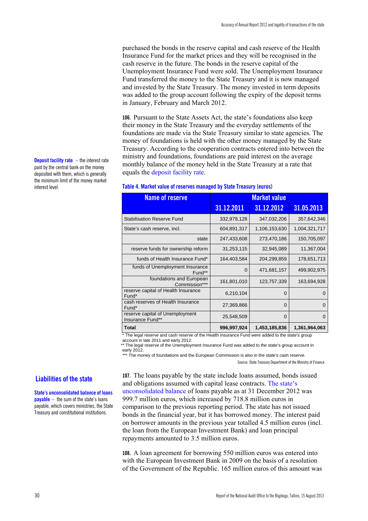purchased the bonds in the reserve capital and cash reserve of the Health Insurance Fund for the market prices and they will be recognised in the cash reserve in the future. The bonds in the reserve capital of the Unemployment Insurance Fund were sold. The Unemployment Insurance Fund transferred the money to the State Treasury and it is now managed and invested by the State Treasury. The money invested in term deposits was added to the group account following the expiry of the deposit terms in January, February and March 2012.

**106.** Pursuant to the State Assets Act, the state's foundations also keep their money in the State Treasury and the everyday settlements of the foundations are made via the State Treasury similar to state agencies. The money of foundations is held with the other money managed by the State Treasury. According to the cooperation contracts entered into between the ministry and foundations, foundations are paid interest on the average monthly balance of the money held in the State Treasury at a rate that equals the deposit facility rate.

#### **Table 4. Market value of reserves managed by State Treasury (euros)**

| <b>Name of reserve</b>                              | <b>Market value</b> |               |               |
|-----------------------------------------------------|---------------------|---------------|---------------|
|                                                     | 31.12.2011          | 31.12.2012    | 31.05.2013    |
| <b>Stabilisation Reserve Fund</b>                   | 332,978,128         | 347,032,206   | 357,642,346   |
| State's cash reserve, incl.                         | 604,891,317         | 1,106,153,630 | 1,004,321,717 |
| state                                               | 247,433,608         | 273,470,186   | 150,705,097   |
| reserve funds for ownership reform                  | 31,253,115          | 32,945,089    | 11,367,004    |
| funds of Health Insurance Fund*                     | 164,403,584         | 204,299,859   | 178,651,713   |
| funds of Unemployment Insurance<br>Fund**           | $\Omega$            | 471,681,157   | 499,902,975   |
| foundations and European<br>Commission***           | 161,801,010         | 123,757,339   | 163,694,928   |
| reserve capital of Health Insurance<br>Fund*        | 6,210,104           | 0             | 0             |
| cash reserves of Health Insurance<br>Fund*          | 27,369,866          | 0             | 0             |
| reserve capital of Unemployment<br>Insurance Fund** | 25,548,509          | $\Omega$      | 0             |
| Total                                               | 996,997,924         | 1,453,185,836 | 1,361,964,063 |

\* The legal reserve and cash reserve of the Health Insurance Fund were added to the state's group account in late 2011 and early 2012.

\*\* The legal reserve of the Unemployment Insurance Fund was added to the state's group account in early 2012.

\*\*\* The money of foundations and the European Commission is also in the state's cash reserve.

Source: State Treasury Department of the Ministry of Finance

#### **Liabilities of the state**

**State's unconsolidated balance of loans payable** – the sum of the state's loans payable, which covers ministries, the State Treasury and constitutional institutions.

**107.** The loans payable by the state include loans assumed, bonds issued and obligations assumed with capital lease contracts. The state's unconsolidated balance of loans payable as at 31 December 2012 was 999.7 million euros, which increased by 718.8 million euros in comparison to the previous reporting period. The state has not issued bonds in the financial year, but it has borrowed money. The interest paid on borrower amounts in the previous year totalled 4.5 million euros (incl. the loan from the European Investment Bank) and loan principal repayments amounted to 3.5 million euros.

**108.** A loan agreement for borrowing 550 million euros was entered into with the European Investment Bank in 2009 on the basis of a resolution of the Government of the Republic. 165 million euros of this amount was

**Deposit facility rate** – the interest rate paid by the central bank on the money deposited with them, which is generally the minimum limit of the money market interest level.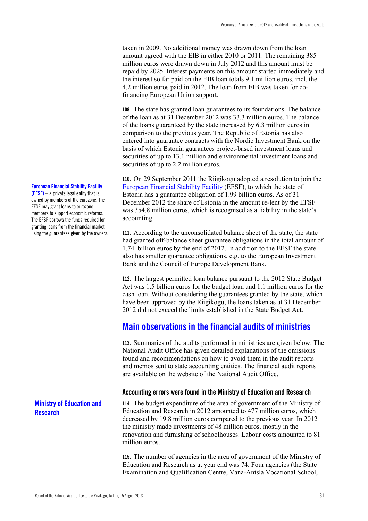taken in 2009. No additional money was drawn down from the loan amount agreed with the EIB in either 2010 or 2011. The remaining 385 million euros were drawn down in July 2012 and this amount must be repaid by 2025. Interest payments on this amount started immediately and the interest so far paid on the EIB loan totals 9.1 million euros, incl. the 4.2 million euros paid in 2012. The loan from EIB was taken for cofinancing European Union support.

**109.** The state has granted loan guarantees to its foundations. The balance of the loan as at 31 December 2012 was 33.3 million euros. The balance of the loans guaranteed by the state increased by 6.3 million euros in comparison to the previous year. The Republic of Estonia has also entered into guarantee contracts with the Nordic Investment Bank on the basis of which Estonia guarantees project-based investment loans and securities of up to 13.1 million and environmental investment loans and securities of up to 2.2 million euros.

**110.** On 29 September 2011 the Riigikogu adopted a resolution to join the European Financial Stability Facility (EFSF), to which the state of Estonia has a guarantee obligation of 1.99 billion euros. As of 31 December 2012 the share of Estonia in the amount re-lent by the EFSF was 354.8 million euros, which is recognised as a liability in the state's accounting.

**111.** According to the unconsolidated balance sheet of the state, the state had granted off-balance sheet guarantee obligations in the total amount of 1.74 billion euros by the end of 2012. In addition to the EFSF the state also has smaller guarantee obligations, e.g. to the European Investment Bank and the Council of Europe Development Bank.

**112.** The largest permitted loan balance pursuant to the 2012 State Budget Act was 1.5 billion euros for the budget loan and 1.1 million euros for the cash loan. Without considering the guarantees granted by the state, which have been approved by the Riigikogu, the loans taken as at 31 December 2012 did not exceed the limits established in the State Budget Act.

## **Main observations in the financial audits of ministries**

**113.** Summaries of the audits performed in ministries are given below. The National Audit Office has given detailed explanations of the omissions found and recommendations on how to avoid them in the audit reports and memos sent to state accounting entities. The financial audit reports are available on the website of the National Audit Office.

#### **Accounting errors were found in the Ministry of Education and Research**

**114.** The budget expenditure of the area of government of the Ministry of Education and Research in 2012 amounted to 477 million euros, which decreased by 19.8 million euros compared to the previous year. In 2012 the ministry made investments of 48 million euros, mostly in the renovation and furnishing of schoolhouses. Labour costs amounted to 81 million euros.

**115.** The number of agencies in the area of government of the Ministry of Education and Research as at year end was 74. Four agencies (the State Examination and Qualification Centre, Vana-Antsla Vocational School,

#### **European Financial Stability Facility**

**(EFSF)** – a private legal entity that is owned by members of the eurozone. The EFSF may grant loans to eurozone members to support economic reforms. The EFSF borrows the funds required for granting loans from the financial market using the guarantees given by the owners.

**Ministry of Education and Research**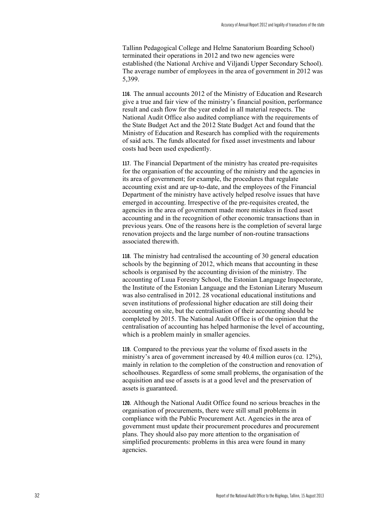Tallinn Pedagogical College and Helme Sanatorium Boarding School) terminated their operations in 2012 and two new agencies were established (the National Archive and Viljandi Upper Secondary School). The average number of employees in the area of government in 2012 was 5,399.

**116.** The annual accounts 2012 of the Ministry of Education and Research give a true and fair view of the ministry's financial position, performance result and cash flow for the year ended in all material respects. The National Audit Office also audited compliance with the requirements of the State Budget Act and the 2012 State Budget Act and found that the Ministry of Education and Research has complied with the requirements of said acts. The funds allocated for fixed asset investments and labour costs had been used expediently.

**117.** The Financial Department of the ministry has created pre-requisites for the organisation of the accounting of the ministry and the agencies in its area of government; for example, the procedures that regulate accounting exist and are up-to-date, and the employees of the Financial Department of the ministry have actively helped resolve issues that have emerged in accounting. Irrespective of the pre-requisites created, the agencies in the area of government made more mistakes in fixed asset accounting and in the recognition of other economic transactions than in previous years. One of the reasons here is the completion of several large renovation projects and the large number of non-routine transactions associated therewith.

**118.** The ministry had centralised the accounting of 30 general education schools by the beginning of 2012, which means that accounting in these schools is organised by the accounting division of the ministry. The accounting of Luua Forestry School, the Estonian Language Inspectorate, the Institute of the Estonian Language and the Estonian Literary Museum was also centralised in 2012. 28 vocational educational institutions and seven institutions of professional higher education are still doing their accounting on site, but the centralisation of their accounting should be completed by 2015. The National Audit Office is of the opinion that the centralisation of accounting has helped harmonise the level of accounting, which is a problem mainly in smaller agencies.

**119.** Compared to the previous year the volume of fixed assets in the ministry's area of government increased by 40.4 million euros (*ca.* 12%), mainly in relation to the completion of the construction and renovation of schoolhouses. Regardless of some small problems, the organisation of the acquisition and use of assets is at a good level and the preservation of assets is guaranteed.

**120.** Although the National Audit Office found no serious breaches in the organisation of procurements, there were still small problems in compliance with the Public Procurement Act. Agencies in the area of government must update their procurement procedures and procurement plans. They should also pay more attention to the organisation of simplified procurements: problems in this area were found in many agencies.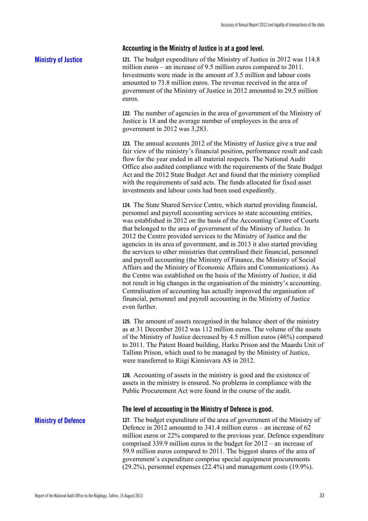#### **Accounting in the Ministry of Justice is at a good level.**

#### **Ministry of Justice**

**121.** The budget expenditure of the Ministry of Justice in 2012 was 114.8 million euros – an increase of 9.5 million euros compared to 2011. Investments were made in the amount of 3.5 million and labour costs amounted to 73.8 million euros. The revenue received in the area of government of the Ministry of Justice in 2012 amounted to 29.5 million euros.

**122.** The number of agencies in the area of government of the Ministry of Justice is 18 and the average number of employees in the area of government in 2012 was 3,283.

**123.** The annual accounts 2012 of the Ministry of Justice give a true and fair view of the ministry's financial position, performance result and cash flow for the year ended in all material respects. The National Audit Office also audited compliance with the requirements of the State Budget Act and the 2012 State Budget Act and found that the ministry complied with the requirements of said acts. The funds allocated for fixed asset investments and labour costs had been used expediently.

**124.** The State Shared Service Centre, which started providing financial, personnel and payroll accounting services to state accounting entities, was established in 2012 on the basis of the Accounting Centre of Courts that belonged to the area of government of the Ministry of Justice. In 2012 the Centre provided services to the Ministry of Justice and the agencies in its area of government, and in 2013 it also started providing the services to other ministries that centralised their financial, personnel and payroll accounting (the Ministry of Finance, the Ministry of Social Affairs and the Ministry of Economic Affairs and Communications). As the Centre was established on the basis of the Ministry of Justice, it did not result in big changes in the organisation of the ministry's accounting. Centralisation of accounting has actually improved the organisation of financial, personnel and payroll accounting in the Ministry of Justice even further.

**125.** The amount of assets recognised in the balance sheet of the ministry as at 31 December 2012 was 112 million euros. The volume of the assets of the Ministry of Justice decreased by 4.5 million euros (46%) compared to 2011. The Patent Board building, Harku Prison and the Maardu Unit of Tallinn Prison, which used to be managed by the Ministry of Justice, were transferred to Riigi Kinnisvara AS in 2012.

**126.** Accounting of assets in the ministry is good and the existence of assets in the ministry is ensured. No problems in compliance with the Public Procurement Act were found in the course of the audit.

#### **The level of accounting in the Ministry of Defence is good.**

#### **Ministry of Defence**

**127.** The budget expenditure of the area of government of the Ministry of Defence in 2012 amounted to 341.4 million euros – an increase of 62 million euros or 22% compared to the previous year. Defence expenditure comprised 339.9 million euros in the budget for 2012 – an increase of 59.9 million euros compared to 2011. The biggest shares of the area of government's expenditure comprise special equipment procurements (29.2%), personnel expenses (22.4%) and management costs (19.9%).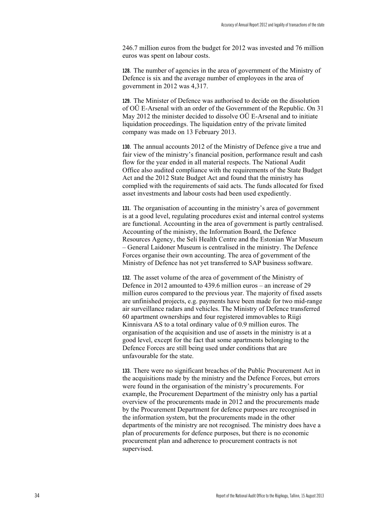246.7 million euros from the budget for 2012 was invested and 76 million euros was spent on labour costs.

**128.** The number of agencies in the area of government of the Ministry of Defence is six and the average number of employees in the area of government in 2012 was 4,317.

**129.** The Minister of Defence was authorised to decide on the dissolution of OÜ E-Arsenal with an order of the Government of the Republic. On 31 May 2012 the minister decided to dissolve OÜ E-Arsenal and to initiate liquidation proceedings. The liquidation entry of the private limited company was made on 13 February 2013.

**130.** The annual accounts 2012 of the Ministry of Defence give a true and fair view of the ministry's financial position, performance result and cash flow for the year ended in all material respects. The National Audit Office also audited compliance with the requirements of the State Budget Act and the 2012 State Budget Act and found that the ministry has complied with the requirements of said acts. The funds allocated for fixed asset investments and labour costs had been used expediently.

**131.** The organisation of accounting in the ministry's area of government is at a good level, regulating procedures exist and internal control systems are functional. Accounting in the area of government is partly centralised. Accounting of the ministry, the Information Board, the Defence Resources Agency, the Seli Health Centre and the Estonian War Museum – General Laidoner Museum is centralised in the ministry. The Defence Forces organise their own accounting. The area of government of the Ministry of Defence has not yet transferred to SAP business software.

**132.** The asset volume of the area of government of the Ministry of Defence in 2012 amounted to 439.6 million euros – an increase of 29 million euros compared to the previous year. The majority of fixed assets are unfinished projects, e.g. payments have been made for two mid-range air surveillance radars and vehicles. The Ministry of Defence transferred 60 apartment ownerships and four registered immovables to Riigi Kinnisvara AS to a total ordinary value of 0.9 million euros. The organisation of the acquisition and use of assets in the ministry is at a good level, except for the fact that some apartments belonging to the Defence Forces are still being used under conditions that are unfavourable for the state.

**133.** There were no significant breaches of the Public Procurement Act in the acquisitions made by the ministry and the Defence Forces, but errors were found in the organisation of the ministry's procurements. For example, the Procurement Department of the ministry only has a partial overview of the procurements made in 2012 and the procurements made by the Procurement Department for defence purposes are recognised in the information system, but the procurements made in the other departments of the ministry are not recognised. The ministry does have a plan of procurements for defence purposes, but there is no economic procurement plan and adherence to procurement contracts is not supervised.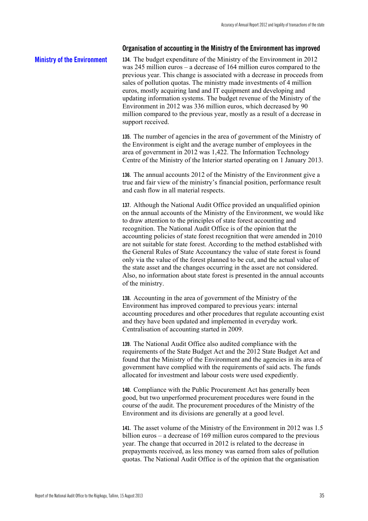#### **Organisation of accounting in the Ministry of the Environment has improved**

#### **Ministry of the Environment**

**134.** The budget expenditure of the Ministry of the Environment in 2012 was 245 million euros – a decrease of 164 million euros compared to the previous year. This change is associated with a decrease in proceeds from sales of pollution quotas. The ministry made investments of 4 million euros, mostly acquiring land and IT equipment and developing and updating information systems. The budget revenue of the Ministry of the Environment in 2012 was 336 million euros, which decreased by 90 million compared to the previous year, mostly as a result of a decrease in support received.

**135.** The number of agencies in the area of government of the Ministry of the Environment is eight and the average number of employees in the area of government in 2012 was 1,422. The Information Technology Centre of the Ministry of the Interior started operating on 1 January 2013.

**136.** The annual accounts 2012 of the Ministry of the Environment give a true and fair view of the ministry's financial position, performance result and cash flow in all material respects.

**137.** Although the National Audit Office provided an unqualified opinion on the annual accounts of the Ministry of the Environment, we would like to draw attention to the principles of state forest accounting and recognition. The National Audit Office is of the opinion that the accounting policies of state forest recognition that were amended in 2010 are not suitable for state forest. According to the method established with the General Rules of State Accountancy the value of state forest is found only via the value of the forest planned to be cut, and the actual value of the state asset and the changes occurring in the asset are not considered. Also, no information about state forest is presented in the annual accounts of the ministry.

**138.** Accounting in the area of government of the Ministry of the Environment has improved compared to previous years: internal accounting procedures and other procedures that regulate accounting exist and they have been updated and implemented in everyday work. Centralisation of accounting started in 2009.

**139.** The National Audit Office also audited compliance with the requirements of the State Budget Act and the 2012 State Budget Act and found that the Ministry of the Environment and the agencies in its area of government have complied with the requirements of said acts. The funds allocated for investment and labour costs were used expediently.

**140.** Compliance with the Public Procurement Act has generally been good, but two unperformed procurement procedures were found in the course of the audit. The procurement procedures of the Ministry of the Environment and its divisions are generally at a good level.

**141.** The asset volume of the Ministry of the Environment in 2012 was 1.5 billion euros – a decrease of 169 million euros compared to the previous year. The change that occurred in 2012 is related to the decrease in prepayments received, as less money was earned from sales of pollution quotas. The National Audit Office is of the opinion that the organisation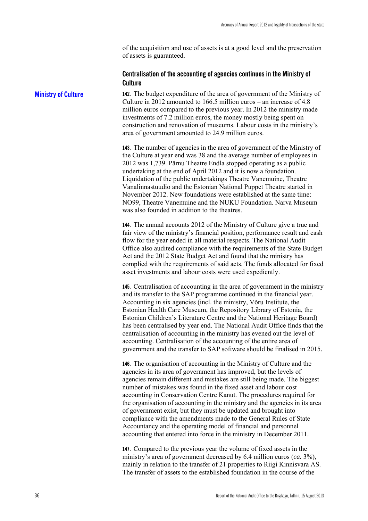of the acquisition and use of assets is at a good level and the preservation of assets is guaranteed.

#### **Centralisation of the accounting of agencies continues in the Ministry of Culture**

**142.** The budget expenditure of the area of government of the Ministry of Culture in 2012 amounted to 166.5 million euros – an increase of 4.8 million euros compared to the previous year. In 2012 the ministry made investments of 7.2 million euros, the money mostly being spent on construction and renovation of museums. Labour costs in the ministry's area of government amounted to 24.9 million euros.

**143.** The number of agencies in the area of government of the Ministry of the Culture at year end was 38 and the average number of employees in 2012 was 1,739. Pärnu Theatre Endla stopped operating as a public undertaking at the end of April 2012 and it is now a foundation. Liquidation of the public undertakings Theatre Vanemuine, Theatre Vanalinnastuudio and the Estonian National Puppet Theatre started in November 2012. New foundations were established at the same time: NO99, Theatre Vanemuine and the NUKU Foundation. Narva Museum was also founded in addition to the theatres.

**144.** The annual accounts 2012 of the Ministry of Culture give a true and fair view of the ministry's financial position, performance result and cash flow for the year ended in all material respects. The National Audit Office also audited compliance with the requirements of the State Budget Act and the 2012 State Budget Act and found that the ministry has complied with the requirements of said acts. The funds allocated for fixed asset investments and labour costs were used expediently.

**145.** Centralisation of accounting in the area of government in the ministry and its transfer to the SAP programme continued in the financial year. Accounting in six agencies (incl. the ministry, Võru Institute, the Estonian Health Care Museum, the Repository Library of Estonia, the Estonian Children's Literature Centre and the National Heritage Board) has been centralised by year end. The National Audit Office finds that the centralisation of accounting in the ministry has evened out the level of accounting. Centralisation of the accounting of the entire area of government and the transfer to SAP software should be finalised in 2015.

**146.** The organisation of accounting in the Ministry of Culture and the agencies in its area of government has improved, but the levels of agencies remain different and mistakes are still being made. The biggest number of mistakes was found in the fixed asset and labour cost accounting in Conservation Centre Kanut. The procedures required for the organisation of accounting in the ministry and the agencies in its area of government exist, but they must be updated and brought into compliance with the amendments made to the General Rules of State Accountancy and the operating model of financial and personnel accounting that entered into force in the ministry in December 2011.

**147.** Compared to the previous year the volume of fixed assets in the ministry's area of government decreased by 6.4 million euros (*ca.* 3%), mainly in relation to the transfer of 21 properties to Riigi Kinnisvara AS. The transfer of assets to the established foundation in the course of the

**Ministry of Culture**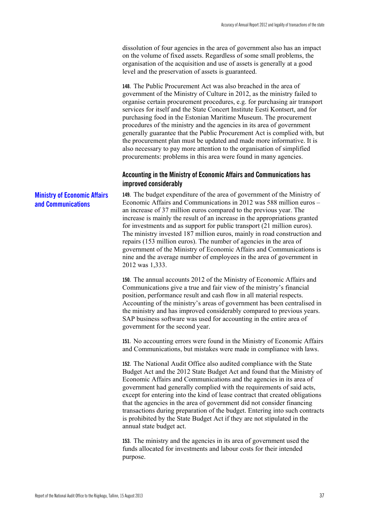dissolution of four agencies in the area of government also has an impact on the volume of fixed assets. Regardless of some small problems, the organisation of the acquisition and use of assets is generally at a good level and the preservation of assets is guaranteed.

**148.** The Public Procurement Act was also breached in the area of government of the Ministry of Culture in 2012, as the ministry failed to organise certain procurement procedures, e.g. for purchasing air transport services for itself and the State Concert Institute Eesti Kontsert, and for purchasing food in the Estonian Maritime Museum. The procurement procedures of the ministry and the agencies in its area of government generally guarantee that the Public Procurement Act is complied with, but the procurement plan must be updated and made more informative. It is also necessary to pay more attention to the organisation of simplified procurements: problems in this area were found in many agencies.

### **Accounting in the Ministry of Economic Affairs and Communications has improved considerably**

**149.** The budget expenditure of the area of government of the Ministry of Economic Affairs and Communications in 2012 was 588 million euros – an increase of 37 million euros compared to the previous year. The increase is mainly the result of an increase in the appropriations granted for investments and as support for public transport (21 million euros). The ministry invested 187 million euros, mainly in road construction and repairs (153 million euros). The number of agencies in the area of government of the Ministry of Economic Affairs and Communications is nine and the average number of employees in the area of government in 2012 was 1,333.

**150.** The annual accounts 2012 of the Ministry of Economic Affairs and Communications give a true and fair view of the ministry's financial position, performance result and cash flow in all material respects. Accounting of the ministry's areas of government has been centralised in the ministry and has improved considerably compared to previous years. SAP business software was used for accounting in the entire area of government for the second year.

**151.** No accounting errors were found in the Ministry of Economic Affairs and Communications, but mistakes were made in compliance with laws.

**152.** The National Audit Office also audited compliance with the State Budget Act and the 2012 State Budget Act and found that the Ministry of Economic Affairs and Communications and the agencies in its area of government had generally complied with the requirements of said acts, except for entering into the kind of lease contract that created obligations that the agencies in the area of government did not consider financing transactions during preparation of the budget. Entering into such contracts is prohibited by the State Budget Act if they are not stipulated in the annual state budget act.

**153.** The ministry and the agencies in its area of government used the funds allocated for investments and labour costs for their intended purpose.

**Ministry of Economic Affairs and Communications**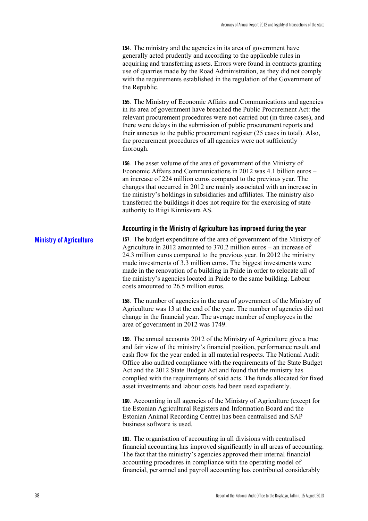**154.** The ministry and the agencies in its area of government have generally acted prudently and according to the applicable rules in acquiring and transferring assets. Errors were found in contracts granting use of quarries made by the Road Administration, as they did not comply with the requirements established in the regulation of the Government of the Republic.

**155.** The Ministry of Economic Affairs and Communications and agencies in its area of government have breached the Public Procurement Act: the relevant procurement procedures were not carried out (in three cases), and there were delays in the submission of public procurement reports and their annexes to the public procurement register (25 cases in total). Also, the procurement procedures of all agencies were not sufficiently thorough.

**156.** The asset volume of the area of government of the Ministry of Economic Affairs and Communications in 2012 was 4.1 billion euros – an increase of 224 million euros compared to the previous year. The changes that occurred in 2012 are mainly associated with an increase in the ministry's holdings in subsidiaries and affiliates. The ministry also transferred the buildings it does not require for the exercising of state authority to Riigi Kinnisvara AS.

#### **Accounting in the Ministry of Agriculture has improved during the year**

**157.** The budget expenditure of the area of government of the Ministry of Agriculture in 2012 amounted to 370.2 million euros – an increase of 24.3 million euros compared to the previous year. In 2012 the ministry made investments of 3.3 million euros. The biggest investments were made in the renovation of a building in Paide in order to relocate all of the ministry's agencies located in Paide to the same building. Labour costs amounted to 26.5 million euros. **Ministry of Agriculture** 

> **158.** The number of agencies in the area of government of the Ministry of Agriculture was 13 at the end of the year. The number of agencies did not change in the financial year. The average number of employees in the area of government in 2012 was 1749.

> **159.** The annual accounts 2012 of the Ministry of Agriculture give a true and fair view of the ministry's financial position, performance result and cash flow for the year ended in all material respects. The National Audit Office also audited compliance with the requirements of the State Budget Act and the 2012 State Budget Act and found that the ministry has complied with the requirements of said acts. The funds allocated for fixed asset investments and labour costs had been used expediently.

**160.** Accounting in all agencies of the Ministry of Agriculture (except for the Estonian Agricultural Registers and Information Board and the Estonian Animal Recording Centre) has been centralised and SAP business software is used.

**161.** The organisation of accounting in all divisions with centralised financial accounting has improved significantly in all areas of accounting. The fact that the ministry's agencies approved their internal financial accounting procedures in compliance with the operating model of financial, personnel and payroll accounting has contributed considerably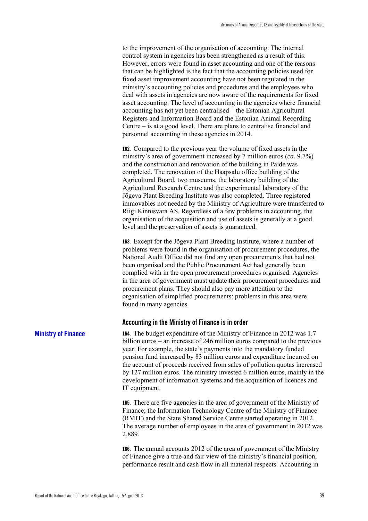to the improvement of the organisation of accounting. The internal control system in agencies has been strengthened as a result of this. However, errors were found in asset accounting and one of the reasons that can be highlighted is the fact that the accounting policies used for fixed asset improvement accounting have not been regulated in the ministry's accounting policies and procedures and the employees who deal with assets in agencies are now aware of the requirements for fixed asset accounting. The level of accounting in the agencies where financial accounting has not yet been centralised – the Estonian Agricultural Registers and Information Board and the Estonian Animal Recording Centre – is at a good level. There are plans to centralise financial and personnel accounting in these agencies in 2014.

**162.** Compared to the previous year the volume of fixed assets in the ministry's area of government increased by 7 million euros (*ca.* 9.7%) and the construction and renovation of the building in Paide was completed. The renovation of the Haapsalu office building of the Agricultural Board, two museums, the laboratory building of the Agricultural Research Centre and the experimental laboratory of the Jõgeva Plant Breeding Institute was also completed. Three registered immovables not needed by the Ministry of Agriculture were transferred to Riigi Kinnisvara AS. Regardless of a few problems in accounting, the organisation of the acquisition and use of assets is generally at a good level and the preservation of assets is guaranteed.

**163.** Except for the Jõgeva Plant Breeding Institute, where a number of problems were found in the organisation of procurement procedures, the National Audit Office did not find any open procurements that had not been organised and the Public Procurement Act had generally been complied with in the open procurement procedures organised. Agencies in the area of government must update their procurement procedures and procurement plans. They should also pay more attention to the organisation of simplified procurements: problems in this area were found in many agencies.

#### **Accounting in the Ministry of Finance is in order**

**164.** The budget expenditure of the Ministry of Finance in 2012 was 1.7 billion euros – an increase of 246 million euros compared to the previous year. For example, the state's payments into the mandatory funded pension fund increased by 83 million euros and expenditure incurred on the account of proceeds received from sales of pollution quotas increased by 127 million euros. The ministry invested 6 million euros, mainly in the development of information systems and the acquisition of licences and IT equipment.

**165.** There are five agencies in the area of government of the Ministry of Finance; the Information Technology Centre of the Ministry of Finance (RMIT) and the State Shared Service Centre started operating in 2012. The average number of employees in the area of government in 2012 was 2,889.

**166.** The annual accounts 2012 of the area of government of the Ministry of Finance give a true and fair view of the ministry's financial position, performance result and cash flow in all material respects. Accounting in

#### **Ministry of Finance**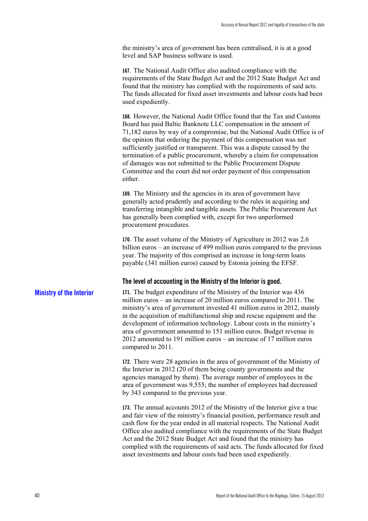the ministry's area of government has been centralised, it is at a good level and SAP business software is used.

**167.** The National Audit Office also audited compliance with the requirements of the State Budget Act and the 2012 State Budget Act and found that the ministry has complied with the requirements of said acts. The funds allocated for fixed asset investments and labour costs had been used expediently.

**168.** However, the National Audit Office found that the Tax and Customs Board has paid Baltic Banknote LLC compensation in the amount of 71,182 euros by way of a compromise, but the National Audit Office is of the opinion that ordering the payment of this compensation was not sufficiently justified or transparent. This was a dispute caused by the termination of a public procurement, whereby a claim for compensation of damages was not submitted to the Public Procurement Dispute Committee and the court did not order payment of this compensation either.

**169.** The Ministry and the agencies in its area of government have generally acted prudently and according to the rules in acquiring and transferring intangible and tangible assets. The Public Procurement Act has generally been complied with, except for two unperformed procurement procedures.

**170.** The asset volume of the Ministry of Agriculture in 2012 was 2.6 billion euros – an increase of 499 million euros compared to the previous year. The majority of this comprised an increase in long-term loans payable (341 million euros) caused by Estonia joining the EFSF.

#### **The level of accounting in the Ministry of the Interior is good.**

**171.** The budget expenditure of the Ministry of the Interior was 436 million euros – an increase of 20 million euros compared to 2011. The ministry's area of government invested 41 million euros in 2012, mainly in the acquisition of multifunctional ship and rescue equipment and the development of information technology. Labour costs in the ministry's area of government amounted to 151 million euros. Budget revenue in 2012 amounted to 191 million euros – an increase of 17 million euros compared to 2011.

> **172.** There were 28 agencies in the area of government of the Ministry of the Interior in 2012 (20 of them being county governments and the agencies managed by them). The average number of employees in the area of government was 9,555; the number of employees had decreased by 343 compared to the previous year.

**173.** The annual accounts 2012 of the Ministry of the Interior give a true and fair view of the ministry's financial position, performance result and cash flow for the year ended in all material respects. The National Audit Office also audited compliance with the requirements of the State Budget Act and the 2012 State Budget Act and found that the ministry has complied with the requirements of said acts. The funds allocated for fixed asset investments and labour costs had been used expediently.

#### **Ministry of the Interior**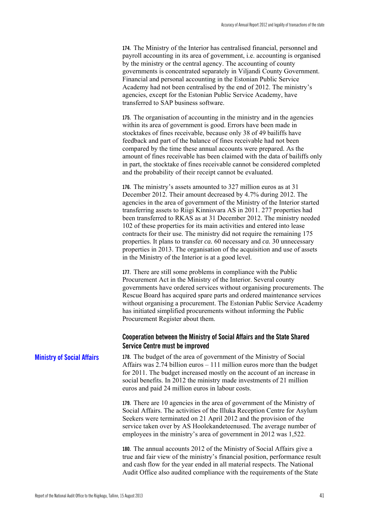**174.** The Ministry of the Interior has centralised financial, personnel and payroll accounting in its area of government, i.e. accounting is organised by the ministry or the central agency. The accounting of county governments is concentrated separately in Viljandi County Government. Financial and personal accounting in the Estonian Public Service Academy had not been centralised by the end of 2012. The ministry's agencies, except for the Estonian Public Service Academy, have transferred to SAP business software.

**175.** The organisation of accounting in the ministry and in the agencies within its area of government is good. Errors have been made in stocktakes of fines receivable, because only 38 of 49 bailiffs have feedback and part of the balance of fines receivable had not been compared by the time these annual accounts were prepared. As the amount of fines receivable has been claimed with the data of bailiffs only in part, the stocktake of fines receivable cannot be considered completed and the probability of their receipt cannot be evaluated.

**176.** The ministry's assets amounted to 327 million euros as at 31 December 2012. Their amount decreased by 4.7% during 2012. The agencies in the area of government of the Ministry of the Interior started transferring assets to Riigi Kinnisvara AS in 2011. 277 properties had been transferred to RKAS as at 31 December 2012. The ministry needed 102 of these properties for its main activities and entered into lease contracts for their use. The ministry did not require the remaining 175 properties. It plans to transfer *ca.* 60 necessary and *ca.* 30 unnecessary properties in 2013. The organisation of the acquisition and use of assets in the Ministry of the Interior is at a good level.

**177.** There are still some problems in compliance with the Public Procurement Act in the Ministry of the Interior. Several county governments have ordered services without organising procurements. The Rescue Board has acquired spare parts and ordered maintenance services without organising a procurement. The Estonian Public Service Academy has initiated simplified procurements without informing the Public Procurement Register about them.

#### **Cooperation between the Ministry of Social Affairs and the State Shared Service Centre must be improved**

**178.** The budget of the area of government of the Ministry of Social Affairs was 2.74 billion euros – 111 million euros more than the budget for 2011. The budget increased mostly on the account of an increase in social benefits. In 2012 the ministry made investments of 21 million euros and paid 24 million euros in labour costs. **Ministry of Social Affairs** 

> **179.** There are 10 agencies in the area of government of the Ministry of Social Affairs. The activities of the Illuka Reception Centre for Asylum Seekers were terminated on 21 April 2012 and the provision of the service taken over by AS Hoolekandeteenused. The average number of employees in the ministry's area of government in 2012 was 1,522.

**180.** The annual accounts 2012 of the Ministry of Social Affairs give a true and fair view of the ministry's financial position, performance result and cash flow for the year ended in all material respects. The National Audit Office also audited compliance with the requirements of the State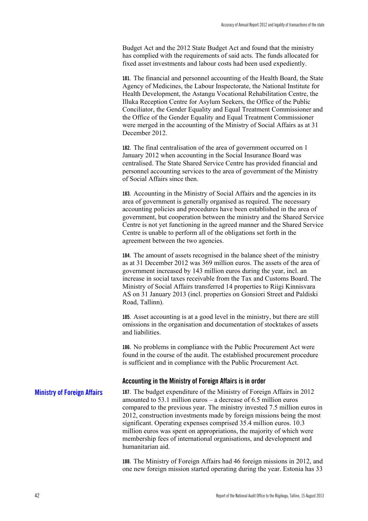Budget Act and the 2012 State Budget Act and found that the ministry has complied with the requirements of said acts. The funds allocated for fixed asset investments and labour costs had been used expediently.

**181.** The financial and personnel accounting of the Health Board, the State Agency of Medicines, the Labour Inspectorate, the National Institute for Health Development, the Astangu Vocational Rehabilitation Centre, the Illuka Reception Centre for Asylum Seekers, the Office of the Public Conciliator, the Gender Equality and Equal Treatment Commissioner and the Office of the Gender Equality and Equal Treatment Commissioner were merged in the accounting of the Ministry of Social Affairs as at 31 December 2012.

**182.** The final centralisation of the area of government occurred on 1 January 2012 when accounting in the Social Insurance Board was centralised. The State Shared Service Centre has provided financial and personnel accounting services to the area of government of the Ministry of Social Affairs since then.

**183.** Accounting in the Ministry of Social Affairs and the agencies in its area of government is generally organised as required. The necessary accounting policies and procedures have been established in the area of government, but cooperation between the ministry and the Shared Service Centre is not yet functioning in the agreed manner and the Shared Service Centre is unable to perform all of the obligations set forth in the agreement between the two agencies.

**184.** The amount of assets recognised in the balance sheet of the ministry as at 31 December 2012 was 369 million euros. The assets of the area of government increased by 143 million euros during the year, incl. an increase in social taxes receivable from the Tax and Customs Board. The Ministry of Social Affairs transferred 14 properties to Riigi Kinnisvara AS on 31 January 2013 (incl. properties on Gonsiori Street and Paldiski Road, Tallinn).

**185.** Asset accounting is at a good level in the ministry, but there are still omissions in the organisation and documentation of stocktakes of assets and liabilities.

**186.** No problems in compliance with the Public Procurement Act were found in the course of the audit. The established procurement procedure is sufficient and in compliance with the Public Procurement Act.

#### **Accounting in the Ministry of Foreign Affairs is in order**

**187.** The budget expenditure of the Ministry of Foreign Affairs in 2012 amounted to 53.1 million euros – a decrease of 6.5 million euros compared to the previous year. The ministry invested 7.5 million euros in 2012, construction investments made by foreign missions being the most significant. Operating expenses comprised 35.4 million euros. 10.3 million euros was spent on appropriations, the majority of which were membership fees of international organisations, and development and humanitarian aid. **Ministry of Foreign Affairs** 

> **188.** The Ministry of Foreign Affairs had 46 foreign missions in 2012, and one new foreign mission started operating during the year. Estonia has 33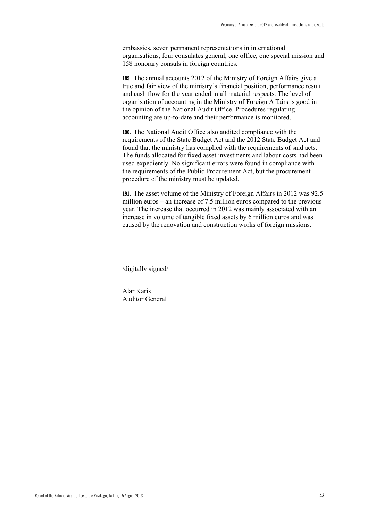embassies, seven permanent representations in international organisations, four consulates general, one office, one special mission and 158 honorary consuls in foreign countries.

**189.** The annual accounts 2012 of the Ministry of Foreign Affairs give a true and fair view of the ministry's financial position, performance result and cash flow for the year ended in all material respects. The level of organisation of accounting in the Ministry of Foreign Affairs is good in the opinion of the National Audit Office. Procedures regulating accounting are up-to-date and their performance is monitored.

**190.** The National Audit Office also audited compliance with the requirements of the State Budget Act and the 2012 State Budget Act and found that the ministry has complied with the requirements of said acts. The funds allocated for fixed asset investments and labour costs had been used expediently. No significant errors were found in compliance with the requirements of the Public Procurement Act, but the procurement procedure of the ministry must be updated.

**191.** The asset volume of the Ministry of Foreign Affairs in 2012 was 92.5 million euros – an increase of 7.5 million euros compared to the previous year. The increase that occurred in 2012 was mainly associated with an increase in volume of tangible fixed assets by 6 million euros and was caused by the renovation and construction works of foreign missions.

/digitally signed/

Alar Karis Auditor General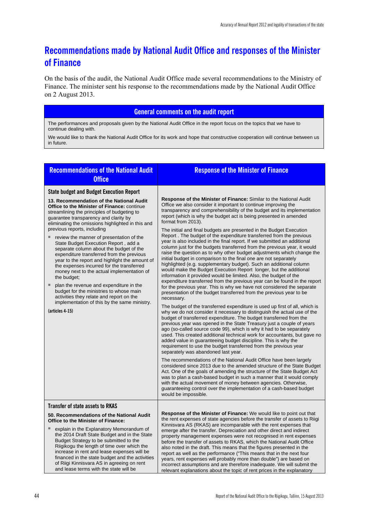## **Recommendations made by National Audit Office and responses of the Minister of Finance**

On the basis of the audit, the National Audit Office made several recommendations to the Ministry of Finance. The minister sent his response to the recommendations made by the National Audit Office on 2 August 2013.

#### **General comments on the audit report**

The performances and proposals given by the National Audit Office in the report focus on the topics that we have to continue dealing with.

We would like to thank the National Audit Office for its work and hope that constructive cooperation will continue between us in future.

| <b>Recommendations of the National Audit</b><br><b>Office</b>                                                                                                                                                                                                                                                                                                                                                                                                                                                                                                                                                                                                                                                                                                                                                                                                                   | <b>Response of the Minister of Finance</b>                                                                                                                                                                                                                                                                                                                                                                                                                                                                                                                                                                                                                                                                                                                                                                                                                                                                                                                                                                                                                                                                                                                                                                                                                                                                                                                                                                                                                                                                                                                                                                                                                                                                                                                                                                                                                                                                                                                                                                                                                                                                                                                                                                                                                                                                                                         |
|---------------------------------------------------------------------------------------------------------------------------------------------------------------------------------------------------------------------------------------------------------------------------------------------------------------------------------------------------------------------------------------------------------------------------------------------------------------------------------------------------------------------------------------------------------------------------------------------------------------------------------------------------------------------------------------------------------------------------------------------------------------------------------------------------------------------------------------------------------------------------------|----------------------------------------------------------------------------------------------------------------------------------------------------------------------------------------------------------------------------------------------------------------------------------------------------------------------------------------------------------------------------------------------------------------------------------------------------------------------------------------------------------------------------------------------------------------------------------------------------------------------------------------------------------------------------------------------------------------------------------------------------------------------------------------------------------------------------------------------------------------------------------------------------------------------------------------------------------------------------------------------------------------------------------------------------------------------------------------------------------------------------------------------------------------------------------------------------------------------------------------------------------------------------------------------------------------------------------------------------------------------------------------------------------------------------------------------------------------------------------------------------------------------------------------------------------------------------------------------------------------------------------------------------------------------------------------------------------------------------------------------------------------------------------------------------------------------------------------------------------------------------------------------------------------------------------------------------------------------------------------------------------------------------------------------------------------------------------------------------------------------------------------------------------------------------------------------------------------------------------------------------------------------------------------------------------------------------------------------------|
| <b>State budget and Budget Execution Report</b><br>13. Recommendation of the National Audit<br><b>Office to the Minister of Finance: continue</b><br>streamlining the principles of budgeting to<br>guarantee transparency and clarity by<br>eliminating the omissions highlighted in this and<br>previous reports, including<br>review the manner of presentation of the<br>State Budget Execution Report, add a<br>separate column about the budget of the<br>expenditure transferred from the previous<br>year to the report and highlight the amount of<br>the expenses incurred for the transferred<br>money next to the actual implementation of<br>the budget;<br>ш<br>plan the revenue and expenditure in the<br>budget for the ministries to whose main<br>activities they relate and report on the<br>implementation of this by the same ministry.<br>(articles 4-15) | <b>Response of the Minister of Finance:</b> Similar to the National Audit<br>Office we also consider it important to continue improving the<br>transparency and comprehensibility of the budget and its implementation<br>report (which is why the budget act is being presented in amended<br>format from 2013).<br>The initial and final budgets are presented in the Budget Execution<br>Report. The budget of the expenditure transferred from the previous<br>year is also included in the final report. If we submitted an additional<br>column just for the budgets transferred from the previous year, it would<br>raise the question as to why other budget adjustments which change the<br>initial budget in comparison to the final one are not separately<br>highlighted (e.g. supplementary budget). Such an additional column<br>would make the Budget Execution Report longer, but the additional<br>information it provided would be limited. Also, the budget of the<br>expenditure transferred from the previous year can be found in the report<br>for the previous year. This is why we have not considered the separate<br>presentation of the budget transferred from the previous year to be<br>necessary.<br>The budget of the transferred expenditure is used up first of all, which is<br>why we do not consider it necessary to distinguish the actual use of the<br>budget of transferred expenditure. The budget transferred from the<br>previous year was opened in the State Treasury just a couple of years<br>ago (so-called source code 99), which is why it had to be separately<br>used. This created additional technical work for accountants, but gave no<br>added value in guaranteeing budget discipline. This is why the<br>requirement to use the budget transferred from the previous year<br>separately was abandoned last year.<br>The recommendations of the National Audit Office have been largely<br>considered since 2013 due to the amended structure of the State Budget<br>Act. One of the goals of amending the structure of the State Budget Act<br>was to plan a cash-based budget in such a manner that it would comply<br>with the actual movement of money between agencies. Otherwise,<br>guaranteeing control over the implementation of a cash-based budget<br>would be impossible. |
| <b>Transfer of state assets to RKAS</b><br>50. Recommendations of the National Audit                                                                                                                                                                                                                                                                                                                                                                                                                                                                                                                                                                                                                                                                                                                                                                                            | <b>Response of the Minister of Finance:</b> We would like to point out that                                                                                                                                                                                                                                                                                                                                                                                                                                                                                                                                                                                                                                                                                                                                                                                                                                                                                                                                                                                                                                                                                                                                                                                                                                                                                                                                                                                                                                                                                                                                                                                                                                                                                                                                                                                                                                                                                                                                                                                                                                                                                                                                                                                                                                                                        |
| Office to the Minister of Finance:<br>explain in the Explanatory Memorandum of<br>the 2014 Draft State Budget and in the State<br>Budget Strategy to be submitted to the<br>Riigikogu the length of time over which the<br>increase in rent and lease expenses will be<br>financed in the state budget and the activities<br>of Riigi Kinnisvara AS in agreeing on rent<br>and lease terms with the state will be                                                                                                                                                                                                                                                                                                                                                                                                                                                               | the rent expenses of state agencies before the transfer of assets to Riigi<br>Kinnisvara AS (RKAS) are incomparable with the rent expenses that<br>emerge after the transfer. Depreciation and other direct and indirect<br>property management expenses were not recognised in rent expenses<br>before the transfer of assets to RKAS, which the National Audit Office<br>also noted in the draft. This means that the figures presented in the<br>report as well as the performance ("This means that in the next four<br>years, rent expenses will probably more than double") are based on<br>incorrect assumptions and are therefore inadequate. We will submit the<br>relevant explanations about the topic of rent prices in the explanatory                                                                                                                                                                                                                                                                                                                                                                                                                                                                                                                                                                                                                                                                                                                                                                                                                                                                                                                                                                                                                                                                                                                                                                                                                                                                                                                                                                                                                                                                                                                                                                                                |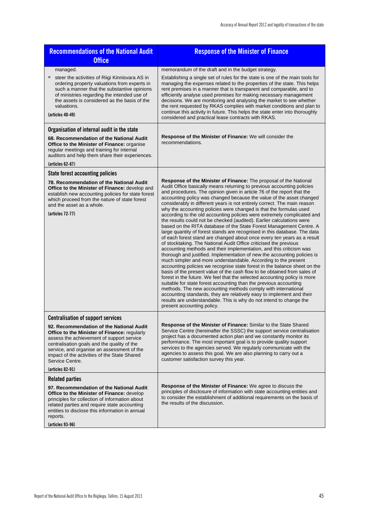| <b>Recommendations of the National Audit</b>                                                                                                                                                                                                                                                                              | <b>Response of the Minister of Finance</b>                                                                                                                                                                                                                                                                                                                                                                                                                                                                                                                                                                                                                                                                                                                                                                                                                                                                                                                                                                                                                                                                                                                                                                                                                                                                                                                                                                                                                                                                                                                                                                                                                                             |
|---------------------------------------------------------------------------------------------------------------------------------------------------------------------------------------------------------------------------------------------------------------------------------------------------------------------------|----------------------------------------------------------------------------------------------------------------------------------------------------------------------------------------------------------------------------------------------------------------------------------------------------------------------------------------------------------------------------------------------------------------------------------------------------------------------------------------------------------------------------------------------------------------------------------------------------------------------------------------------------------------------------------------------------------------------------------------------------------------------------------------------------------------------------------------------------------------------------------------------------------------------------------------------------------------------------------------------------------------------------------------------------------------------------------------------------------------------------------------------------------------------------------------------------------------------------------------------------------------------------------------------------------------------------------------------------------------------------------------------------------------------------------------------------------------------------------------------------------------------------------------------------------------------------------------------------------------------------------------------------------------------------------------|
| <b>Office</b>                                                                                                                                                                                                                                                                                                             |                                                                                                                                                                                                                                                                                                                                                                                                                                                                                                                                                                                                                                                                                                                                                                                                                                                                                                                                                                                                                                                                                                                                                                                                                                                                                                                                                                                                                                                                                                                                                                                                                                                                                        |
| managed.<br>steer the activities of Riigi Kinnisvara AS in<br>ordering property valuations from experts in<br>such a manner that the substantive opinions<br>of ministries regarding the intended use of<br>the assets is considered as the basis of the<br>valuations.<br>(articles 40-49)                               | memorandum of the draft and in the budget strategy.<br>Establishing a single set of rules for the state is one of the main tools for<br>managing the expenses related to the properties of the state. This helps<br>rent premises in a manner that is transparent and comparable, and to<br>efficiently analyse used premises for making necessary management<br>decisions. We are monitoring and analysing the market to see whether<br>the rent requested by RKAS complies with market conditions and plan to<br>continue this activity in future. This helps the state enter into thoroughly<br>considered and practical lease contracts with RKAS.                                                                                                                                                                                                                                                                                                                                                                                                                                                                                                                                                                                                                                                                                                                                                                                                                                                                                                                                                                                                                                 |
| Organisation of internal audit in the state                                                                                                                                                                                                                                                                               |                                                                                                                                                                                                                                                                                                                                                                                                                                                                                                                                                                                                                                                                                                                                                                                                                                                                                                                                                                                                                                                                                                                                                                                                                                                                                                                                                                                                                                                                                                                                                                                                                                                                                        |
| 68. Recommendation of the National Audit<br><b>Office to the Minister of Finance: organise</b><br>regular meetings and training for internal<br>auditors and help them share their experiences.<br>(articles 62-67)                                                                                                       | Response of the Minister of Finance: We will consider the<br>recommendations.                                                                                                                                                                                                                                                                                                                                                                                                                                                                                                                                                                                                                                                                                                                                                                                                                                                                                                                                                                                                                                                                                                                                                                                                                                                                                                                                                                                                                                                                                                                                                                                                          |
| <b>State forest accounting policies</b>                                                                                                                                                                                                                                                                                   |                                                                                                                                                                                                                                                                                                                                                                                                                                                                                                                                                                                                                                                                                                                                                                                                                                                                                                                                                                                                                                                                                                                                                                                                                                                                                                                                                                                                                                                                                                                                                                                                                                                                                        |
| 78. Recommendation of the National Audit<br>Office to the Minister of Finance: develop and<br>establish new accounting policies for state forest<br>which proceed from the nature of state forest<br>and the asset as a whole.<br>(articles 72-77)                                                                        | Response of the Minister of Finance: The proposal of the National<br>Audit Office basically means returning to previous accounting policies<br>and procedures. The opinion given in article 76 of the report that the<br>accounting policy was changed because the value of the asset changed<br>considerably in different years is not entirely correct. The main reason<br>why the accounting policies were changed is that the formulas used<br>according to the old accounting policies were extremely complicated and<br>the results could not be checked (audited). Earlier calculations were<br>based on the RITA database of the State Forest Management Centre. A<br>large quantity of forest stands are recognised in this database. The data<br>of each forest stand are changed about once every ten years as a result<br>of stocktaking. The National Audit Office criticised the previous<br>accounting methods and their implementation, and this criticism was<br>thorough and justified. Implementation of new the accounting policies is<br>much simpler and more understandable. According to the present<br>accounting policies we recognise state forest in the balance sheet on the<br>basis of the present value of the cash flow to be obtained from sales of<br>forest in the future. We feel that the selected accounting policy is more<br>suitable for state forest accounting than the previous accounting<br>methods. The new accounting methods comply with international<br>accounting standards, they are relatively easy to implement and their<br>results are understandable. This is why do not intend to change the<br>present accounting policy. |
| <b>Centralisation of support services</b>                                                                                                                                                                                                                                                                                 |                                                                                                                                                                                                                                                                                                                                                                                                                                                                                                                                                                                                                                                                                                                                                                                                                                                                                                                                                                                                                                                                                                                                                                                                                                                                                                                                                                                                                                                                                                                                                                                                                                                                                        |
| 92. Recommendation of the National Audit<br>Office to the Minister of Finance: regularly<br>assess the achievement of support service<br>centralisation goals and the quality of the<br>service, and organise an assessment of the<br>impact of the activities of the State Shared<br>Service Centre.<br>(articles 82-91) | Response of the Minister of Finance: Similar to the State Shared<br>Service Centre (hereinafter the SSSC) the support service centralisation<br>project has a documented action plan and we constantly monitor its<br>performance. The most important goal is to provide quality support<br>services to the agencies served. We regularly communicate with the<br>agencies to assess this goal. We are also planning to carry out a<br>customer satisfaction survey this year.                                                                                                                                                                                                                                                                                                                                                                                                                                                                                                                                                                                                                                                                                                                                                                                                                                                                                                                                                                                                                                                                                                                                                                                                         |
| <b>Related parties</b>                                                                                                                                                                                                                                                                                                    |                                                                                                                                                                                                                                                                                                                                                                                                                                                                                                                                                                                                                                                                                                                                                                                                                                                                                                                                                                                                                                                                                                                                                                                                                                                                                                                                                                                                                                                                                                                                                                                                                                                                                        |
| 97. Recommendation of the National Audit<br><b>Office to the Minister of Finance: develop</b><br>principles for collection of information about<br>related parties and require state accounting<br>entities to disclose this information in annual<br>reports.<br>(articles 93-96)                                        | <b>Response of the Minister of Finance:</b> We agree to discuss the<br>principles of disclosure of information with state accounting entities and<br>to consider the establishment of additional requirements on the basis of<br>the results of the discussion.                                                                                                                                                                                                                                                                                                                                                                                                                                                                                                                                                                                                                                                                                                                                                                                                                                                                                                                                                                                                                                                                                                                                                                                                                                                                                                                                                                                                                        |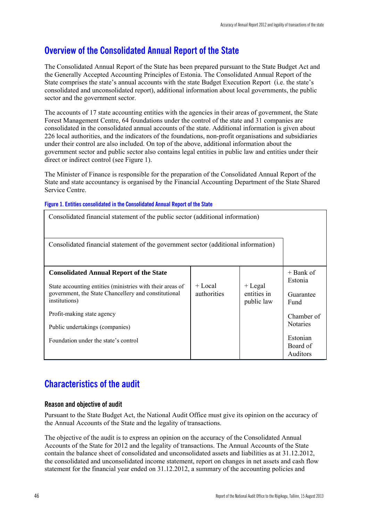## **Overview of the Consolidated Annual Report of the State**

The Consolidated Annual Report of the State has been prepared pursuant to the State Budget Act and the Generally Accepted Accounting Principles of Estonia. The Consolidated Annual Report of the State comprises the state's annual accounts with the state Budget Execution Report (i.e. the state's consolidated and unconsolidated report), additional information about local governments, the public sector and the government sector.

The accounts of 17 state accounting entities with the agencies in their areas of government, the State Forest Management Centre, 64 foundations under the control of the state and 31 companies are consolidated in the consolidated annual accounts of the state. Additional information is given about 226 local authorities, and the indicators of the foundations, non-profit organisations and subsidiaries under their control are also included. On top of the above, additional information about the government sector and public sector also contains legal entities in public law and entities under their direct or indirect control (see Figure 1).

The Minister of Finance is responsible for the preparation of the Consolidated Annual Report of the State and state accountancy is organised by the Financial Accounting Department of the State Shared Service Centre.

#### **Figure 1. Entities consolidated in the Consolidated Annual Report of the State**

| Consolidated financial statement of the public sector (additional information)                                                                                                       |                        |                                        |                                                                   |  |  |
|--------------------------------------------------------------------------------------------------------------------------------------------------------------------------------------|------------------------|----------------------------------------|-------------------------------------------------------------------|--|--|
| Consolidated financial statement of the government sector (additional information)                                                                                                   |                        |                                        |                                                                   |  |  |
| <b>Consolidated Annual Report of the State</b><br>State accounting entities (ministries with their areas of<br>government, the State Chancellery and constitutional<br>institutions) | + Local<br>authorities | $+$ Legal<br>entities in<br>public law | $+$ Bank of<br>Estonia<br>Guarantee<br>Fund                       |  |  |
| Profit-making state agency<br>Public undertakings (companies)<br>Foundation under the state's control                                                                                |                        |                                        | Chamber of<br><b>Notaries</b><br>Estonian<br>Board of<br>Auditors |  |  |

## **Characteristics of the audit**

#### **Reason and objective of audit**

Pursuant to the State Budget Act, the National Audit Office must give its opinion on the accuracy of the Annual Accounts of the State and the legality of transactions.

The objective of the audit is to express an opinion on the accuracy of the Consolidated Annual Accounts of the State for 2012 and the legality of transactions. The Annual Accounts of the State contain the balance sheet of consolidated and unconsolidated assets and liabilities as at 31.12.2012, the consolidated and unconsolidated income statement, report on changes in net assets and cash flow statement for the financial year ended on 31.12.2012, a summary of the accounting policies and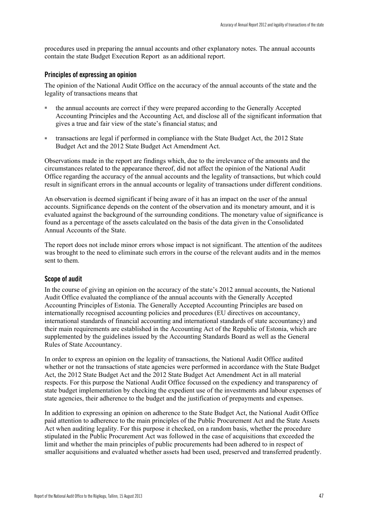procedures used in preparing the annual accounts and other explanatory notes. The annual accounts contain the state Budget Execution Report as an additional report.

#### **Principles of expressing an opinion**

The opinion of the National Audit Office on the accuracy of the annual accounts of the state and the legality of transactions means that

- the annual accounts are correct if they were prepared according to the Generally Accepted Accounting Principles and the Accounting Act, and disclose all of the significant information that gives a true and fair view of the state's financial status; and
- transactions are legal if performed in compliance with the State Budget Act, the 2012 State Budget Act and the 2012 State Budget Act Amendment Act.

Observations made in the report are findings which, due to the irrelevance of the amounts and the circumstances related to the appearance thereof, did not affect the opinion of the National Audit Office regarding the accuracy of the annual accounts and the legality of transactions, but which could result in significant errors in the annual accounts or legality of transactions under different conditions.

An observation is deemed significant if being aware of it has an impact on the user of the annual accounts. Significance depends on the content of the observation and its monetary amount, and it is evaluated against the background of the surrounding conditions. The monetary value of significance is found as a percentage of the assets calculated on the basis of the data given in the Consolidated Annual Accounts of the State.

The report does not include minor errors whose impact is not significant. The attention of the auditees was brought to the need to eliminate such errors in the course of the relevant audits and in the memos sent to them.

#### **Scope of audit**

In the course of giving an opinion on the accuracy of the state's 2012 annual accounts, the National Audit Office evaluated the compliance of the annual accounts with the Generally Accepted Accounting Principles of Estonia. The Generally Accepted Accounting Principles are based on internationally recognised accounting policies and procedures (EU directives on accountancy, international standards of financial accounting and international standards of state accountancy) and their main requirements are established in the Accounting Act of the Republic of Estonia, which are supplemented by the guidelines issued by the Accounting Standards Board as well as the General Rules of State Accountancy.

In order to express an opinion on the legality of transactions, the National Audit Office audited whether or not the transactions of state agencies were performed in accordance with the State Budget Act, the 2012 State Budget Act and the 2012 State Budget Act Amendment Act in all material respects. For this purpose the National Audit Office focussed on the expediency and transparency of state budget implementation by checking the expedient use of the investments and labour expenses of state agencies, their adherence to the budget and the justification of prepayments and expenses.

In addition to expressing an opinion on adherence to the State Budget Act, the National Audit Office paid attention to adherence to the main principles of the Public Procurement Act and the State Assets Act when auditing legality. For this purpose it checked, on a random basis, whether the procedure stipulated in the Public Procurement Act was followed in the case of acquisitions that exceeded the limit and whether the main principles of public procurements had been adhered to in respect of smaller acquisitions and evaluated whether assets had been used, preserved and transferred prudently.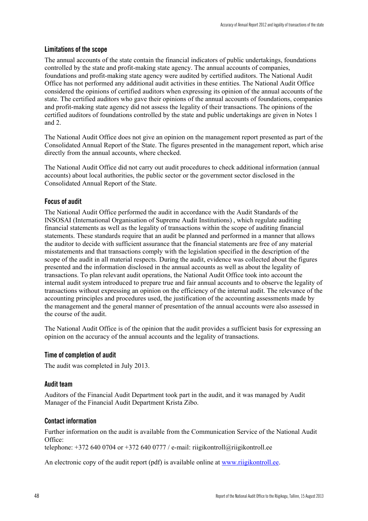#### **Limitations of the scope**

The annual accounts of the state contain the financial indicators of public undertakings, foundations controlled by the state and profit-making state agency. The annual accounts of companies, foundations and profit-making state agency were audited by certified auditors. The National Audit Office has not performed any additional audit activities in these entities. The National Audit Office considered the opinions of certified auditors when expressing its opinion of the annual accounts of the state. The certified auditors who gave their opinions of the annual accounts of foundations, companies and profit-making state agency did not assess the legality of their transactions. The opinions of the certified auditors of foundations controlled by the state and public undertakings are given in Notes 1 and 2.

The National Audit Office does not give an opinion on the management report presented as part of the Consolidated Annual Report of the State. The figures presented in the management report, which arise directly from the annual accounts, where checked.

The National Audit Office did not carry out audit procedures to check additional information (annual accounts) about local authorities, the public sector or the government sector disclosed in the Consolidated Annual Report of the State.

#### **Focus of audit**

The National Audit Office performed the audit in accordance with the Audit Standards of the INSOSAI (International Organisation of Supreme Audit Institutions) , which regulate auditing financial statements as well as the legality of transactions within the scope of auditing financial statements. These standards require that an audit be planned and performed in a manner that allows the auditor to decide with sufficient assurance that the financial statements are free of any material misstatements and that transactions comply with the legislation specified in the description of the scope of the audit in all material respects. During the audit, evidence was collected about the figures presented and the information disclosed in the annual accounts as well as about the legality of transactions. To plan relevant audit operations, the National Audit Office took into account the internal audit system introduced to prepare true and fair annual accounts and to observe the legality of transactions without expressing an opinion on the efficiency of the internal audit. The relevance of the accounting principles and procedures used, the justification of the accounting assessments made by the management and the general manner of presentation of the annual accounts were also assessed in the course of the audit.

The National Audit Office is of the opinion that the audit provides a sufficient basis for expressing an opinion on the accuracy of the annual accounts and the legality of transactions.

#### **Time of completion of audit**

The audit was completed in July 2013.

#### **Audit team**

Auditors of the Financial Audit Department took part in the audit, and it was managed by Audit Manager of the Financial Audit Department Krista Zibo.

#### **Contact information**

Further information on the audit is available from the Communication Service of the National Audit Office: telephone:  $+3726400704$  or  $+3726400777$  / e-mail: riigikontroll@riigikontroll.ee

An electronic copy of the audit report (pdf) is available online at www.riigikontroll.ee.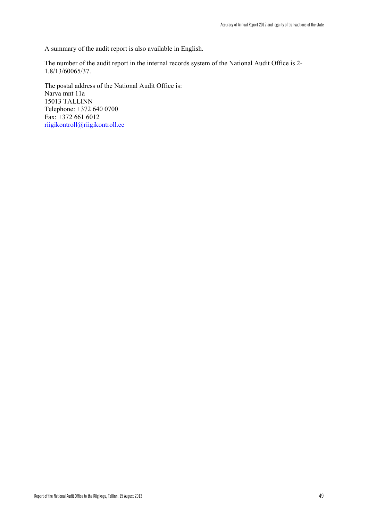A summary of the audit report is also available in English.

The number of the audit report in the internal records system of the National Audit Office is 2- 1.8/13/60065/37.

The postal address of the National Audit Office is: Narva mnt 11a 15013 TALLINN Telephone: +372 640 0700 Fax: +372 661 6012 riigikontroll@riigikontroll.ee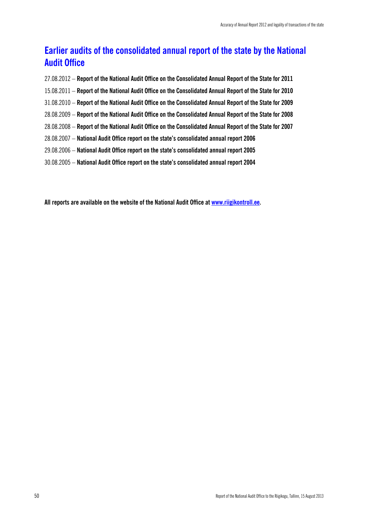## **Earlier audits of the consolidated annual report of the state by the National Audit Office**

- 27.08.2012 **Report of the National Audit Office on the Consolidated Annual Report of the State for 2011**
- 15.08.2011 **Report of the National Audit Office on the Consolidated Annual Report of the State for 2010**
- 31.08.2010 **Report of the National Audit Office on the Consolidated Annual Report of the State for 2009**
- 28.08.2009 **Report of the National Audit Office on the Consolidated Annual Report of the State for 2008**
- 28.08.2008 **Report of the National Audit Office on the Consolidated Annual Report of the State for 2007**
- 28.08.2007 **National Audit Office report on the state's consolidated annual report 2006**
- 29.08.2006 **National Audit Office report on the state's consolidated annual report 2005**
- 30.08.2005 **National Audit Office report on the state's consolidated annual report 2004**

**All reports are available on the website of the National Audit Office at www.riigikontroll.ee.**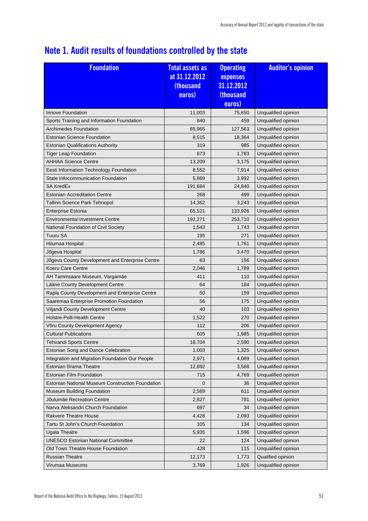## **Note 1. Audit results of foundations controlled by the state**

| euros)<br>Unqualified opinion<br>Innove Foundation<br>11,003<br>75,650<br>Sports Training and Information Foundation<br>840<br>459<br>Unqualified opinion<br><b>Archimedes Foundation</b><br>85,965<br>Unqualified opinion<br>127,563<br><b>Estonian Science Foundation</b><br>Unqualified opinion<br>8,515<br>18,364<br>319<br>985<br>Unqualified opinion<br><b>Estonian Qualifications Authority</b><br><b>Tiger Leap Foundation</b><br>673<br>Unqualified opinion<br>1,783<br><b>AHHAA Science Centre</b><br>13,209<br>3,175<br>Unqualified opinion<br>Eesti Information Technology Foundation<br>8,552<br>Unqualified opinion<br>7,914<br>State Infocommunication Foundation<br>5,869<br>Unqualified opinion<br>3,992<br><b>SA KredEx</b><br>191,684<br>24,840<br>Unqualified opinion<br><b>Estonian Accreditation Centre</b><br>268<br>499<br>Unqualified opinion<br>Tallinn Science Park Tehnopol<br>14,362<br>3,243<br>Unqualified opinion<br>Unqualified opinion<br>Enterprise Estonia<br>65,521<br>133,926<br><b>Environmental Investment Centre</b><br>192,271<br>253,710<br>Unqualified opinion<br>1,543<br>Unqualified opinion<br>National Foundation of Civil Society<br>1,743<br>Tuuru SA<br>195<br>271<br>Unqualified opinion<br>Hiiumaa Hospital<br>2,485<br>1,761<br>Unqualified opinion<br>1,786<br>Unqualified opinion<br>Jõgeva Hospital<br>3,470<br>Unqualified opinion<br>Jõgeva County Development and Enterprise Centre<br>63<br>156<br>Koeru Care Centre<br>2,046<br>Unqualified opinion<br>1,789<br>411<br>AH Tammsaare Museum, Vargamäe<br>110<br>Unqualified opinion<br>Lääne County Development Centre<br>64<br>184<br>Unqualified opinion<br>Rapla County Development and Enterprise Centre<br>50<br>159<br>Unqualified opinion<br>Saaremaa Enterprise Promotion Foundation<br>Unqualified opinion<br>56<br>175<br>40<br>Unqualified opinion<br>Viljandi County Development Centre<br>103<br>Holstre-Polli Health Centre<br>1,522<br>Unqualified opinion<br>270 |
|-----------------------------------------------------------------------------------------------------------------------------------------------------------------------------------------------------------------------------------------------------------------------------------------------------------------------------------------------------------------------------------------------------------------------------------------------------------------------------------------------------------------------------------------------------------------------------------------------------------------------------------------------------------------------------------------------------------------------------------------------------------------------------------------------------------------------------------------------------------------------------------------------------------------------------------------------------------------------------------------------------------------------------------------------------------------------------------------------------------------------------------------------------------------------------------------------------------------------------------------------------------------------------------------------------------------------------------------------------------------------------------------------------------------------------------------------------------------------------------------------------------------------------------------------------------------------------------------------------------------------------------------------------------------------------------------------------------------------------------------------------------------------------------------------------------------------------------------------------------------------------------------------------------------------------------------------------------------------------------------------|
|                                                                                                                                                                                                                                                                                                                                                                                                                                                                                                                                                                                                                                                                                                                                                                                                                                                                                                                                                                                                                                                                                                                                                                                                                                                                                                                                                                                                                                                                                                                                                                                                                                                                                                                                                                                                                                                                                                                                                                                               |
|                                                                                                                                                                                                                                                                                                                                                                                                                                                                                                                                                                                                                                                                                                                                                                                                                                                                                                                                                                                                                                                                                                                                                                                                                                                                                                                                                                                                                                                                                                                                                                                                                                                                                                                                                                                                                                                                                                                                                                                               |
|                                                                                                                                                                                                                                                                                                                                                                                                                                                                                                                                                                                                                                                                                                                                                                                                                                                                                                                                                                                                                                                                                                                                                                                                                                                                                                                                                                                                                                                                                                                                                                                                                                                                                                                                                                                                                                                                                                                                                                                               |
|                                                                                                                                                                                                                                                                                                                                                                                                                                                                                                                                                                                                                                                                                                                                                                                                                                                                                                                                                                                                                                                                                                                                                                                                                                                                                                                                                                                                                                                                                                                                                                                                                                                                                                                                                                                                                                                                                                                                                                                               |
|                                                                                                                                                                                                                                                                                                                                                                                                                                                                                                                                                                                                                                                                                                                                                                                                                                                                                                                                                                                                                                                                                                                                                                                                                                                                                                                                                                                                                                                                                                                                                                                                                                                                                                                                                                                                                                                                                                                                                                                               |
|                                                                                                                                                                                                                                                                                                                                                                                                                                                                                                                                                                                                                                                                                                                                                                                                                                                                                                                                                                                                                                                                                                                                                                                                                                                                                                                                                                                                                                                                                                                                                                                                                                                                                                                                                                                                                                                                                                                                                                                               |
|                                                                                                                                                                                                                                                                                                                                                                                                                                                                                                                                                                                                                                                                                                                                                                                                                                                                                                                                                                                                                                                                                                                                                                                                                                                                                                                                                                                                                                                                                                                                                                                                                                                                                                                                                                                                                                                                                                                                                                                               |
|                                                                                                                                                                                                                                                                                                                                                                                                                                                                                                                                                                                                                                                                                                                                                                                                                                                                                                                                                                                                                                                                                                                                                                                                                                                                                                                                                                                                                                                                                                                                                                                                                                                                                                                                                                                                                                                                                                                                                                                               |
|                                                                                                                                                                                                                                                                                                                                                                                                                                                                                                                                                                                                                                                                                                                                                                                                                                                                                                                                                                                                                                                                                                                                                                                                                                                                                                                                                                                                                                                                                                                                                                                                                                                                                                                                                                                                                                                                                                                                                                                               |
|                                                                                                                                                                                                                                                                                                                                                                                                                                                                                                                                                                                                                                                                                                                                                                                                                                                                                                                                                                                                                                                                                                                                                                                                                                                                                                                                                                                                                                                                                                                                                                                                                                                                                                                                                                                                                                                                                                                                                                                               |
|                                                                                                                                                                                                                                                                                                                                                                                                                                                                                                                                                                                                                                                                                                                                                                                                                                                                                                                                                                                                                                                                                                                                                                                                                                                                                                                                                                                                                                                                                                                                                                                                                                                                                                                                                                                                                                                                                                                                                                                               |
|                                                                                                                                                                                                                                                                                                                                                                                                                                                                                                                                                                                                                                                                                                                                                                                                                                                                                                                                                                                                                                                                                                                                                                                                                                                                                                                                                                                                                                                                                                                                                                                                                                                                                                                                                                                                                                                                                                                                                                                               |
|                                                                                                                                                                                                                                                                                                                                                                                                                                                                                                                                                                                                                                                                                                                                                                                                                                                                                                                                                                                                                                                                                                                                                                                                                                                                                                                                                                                                                                                                                                                                                                                                                                                                                                                                                                                                                                                                                                                                                                                               |
|                                                                                                                                                                                                                                                                                                                                                                                                                                                                                                                                                                                                                                                                                                                                                                                                                                                                                                                                                                                                                                                                                                                                                                                                                                                                                                                                                                                                                                                                                                                                                                                                                                                                                                                                                                                                                                                                                                                                                                                               |
|                                                                                                                                                                                                                                                                                                                                                                                                                                                                                                                                                                                                                                                                                                                                                                                                                                                                                                                                                                                                                                                                                                                                                                                                                                                                                                                                                                                                                                                                                                                                                                                                                                                                                                                                                                                                                                                                                                                                                                                               |
|                                                                                                                                                                                                                                                                                                                                                                                                                                                                                                                                                                                                                                                                                                                                                                                                                                                                                                                                                                                                                                                                                                                                                                                                                                                                                                                                                                                                                                                                                                                                                                                                                                                                                                                                                                                                                                                                                                                                                                                               |
|                                                                                                                                                                                                                                                                                                                                                                                                                                                                                                                                                                                                                                                                                                                                                                                                                                                                                                                                                                                                                                                                                                                                                                                                                                                                                                                                                                                                                                                                                                                                                                                                                                                                                                                                                                                                                                                                                                                                                                                               |
|                                                                                                                                                                                                                                                                                                                                                                                                                                                                                                                                                                                                                                                                                                                                                                                                                                                                                                                                                                                                                                                                                                                                                                                                                                                                                                                                                                                                                                                                                                                                                                                                                                                                                                                                                                                                                                                                                                                                                                                               |
|                                                                                                                                                                                                                                                                                                                                                                                                                                                                                                                                                                                                                                                                                                                                                                                                                                                                                                                                                                                                                                                                                                                                                                                                                                                                                                                                                                                                                                                                                                                                                                                                                                                                                                                                                                                                                                                                                                                                                                                               |
|                                                                                                                                                                                                                                                                                                                                                                                                                                                                                                                                                                                                                                                                                                                                                                                                                                                                                                                                                                                                                                                                                                                                                                                                                                                                                                                                                                                                                                                                                                                                                                                                                                                                                                                                                                                                                                                                                                                                                                                               |
|                                                                                                                                                                                                                                                                                                                                                                                                                                                                                                                                                                                                                                                                                                                                                                                                                                                                                                                                                                                                                                                                                                                                                                                                                                                                                                                                                                                                                                                                                                                                                                                                                                                                                                                                                                                                                                                                                                                                                                                               |
|                                                                                                                                                                                                                                                                                                                                                                                                                                                                                                                                                                                                                                                                                                                                                                                                                                                                                                                                                                                                                                                                                                                                                                                                                                                                                                                                                                                                                                                                                                                                                                                                                                                                                                                                                                                                                                                                                                                                                                                               |
|                                                                                                                                                                                                                                                                                                                                                                                                                                                                                                                                                                                                                                                                                                                                                                                                                                                                                                                                                                                                                                                                                                                                                                                                                                                                                                                                                                                                                                                                                                                                                                                                                                                                                                                                                                                                                                                                                                                                                                                               |
|                                                                                                                                                                                                                                                                                                                                                                                                                                                                                                                                                                                                                                                                                                                                                                                                                                                                                                                                                                                                                                                                                                                                                                                                                                                                                                                                                                                                                                                                                                                                                                                                                                                                                                                                                                                                                                                                                                                                                                                               |
|                                                                                                                                                                                                                                                                                                                                                                                                                                                                                                                                                                                                                                                                                                                                                                                                                                                                                                                                                                                                                                                                                                                                                                                                                                                                                                                                                                                                                                                                                                                                                                                                                                                                                                                                                                                                                                                                                                                                                                                               |
|                                                                                                                                                                                                                                                                                                                                                                                                                                                                                                                                                                                                                                                                                                                                                                                                                                                                                                                                                                                                                                                                                                                                                                                                                                                                                                                                                                                                                                                                                                                                                                                                                                                                                                                                                                                                                                                                                                                                                                                               |
| 112<br>Unqualified opinion<br>Võru County Development Agency<br>206                                                                                                                                                                                                                                                                                                                                                                                                                                                                                                                                                                                                                                                                                                                                                                                                                                                                                                                                                                                                                                                                                                                                                                                                                                                                                                                                                                                                                                                                                                                                                                                                                                                                                                                                                                                                                                                                                                                           |
| <b>Cultural Publications</b><br>605<br>Unqualified opinion<br>1,985                                                                                                                                                                                                                                                                                                                                                                                                                                                                                                                                                                                                                                                                                                                                                                                                                                                                                                                                                                                                                                                                                                                                                                                                                                                                                                                                                                                                                                                                                                                                                                                                                                                                                                                                                                                                                                                                                                                           |
| Tehvandi Sports Centre<br>Unqualified opinion<br>18,704<br>2,590                                                                                                                                                                                                                                                                                                                                                                                                                                                                                                                                                                                                                                                                                                                                                                                                                                                                                                                                                                                                                                                                                                                                                                                                                                                                                                                                                                                                                                                                                                                                                                                                                                                                                                                                                                                                                                                                                                                              |
| Estonian Song and Dance Celebration<br>1,003<br>1,325<br>Unqualified opinion                                                                                                                                                                                                                                                                                                                                                                                                                                                                                                                                                                                                                                                                                                                                                                                                                                                                                                                                                                                                                                                                                                                                                                                                                                                                                                                                                                                                                                                                                                                                                                                                                                                                                                                                                                                                                                                                                                                  |
| Integration and Migration Foundation Our People<br>2,971<br>Unqualified opinion<br>4,089                                                                                                                                                                                                                                                                                                                                                                                                                                                                                                                                                                                                                                                                                                                                                                                                                                                                                                                                                                                                                                                                                                                                                                                                                                                                                                                                                                                                                                                                                                                                                                                                                                                                                                                                                                                                                                                                                                      |
| <b>Estonian Drama Theatre</b><br>Unqualified opinion<br>12,892<br>3,588                                                                                                                                                                                                                                                                                                                                                                                                                                                                                                                                                                                                                                                                                                                                                                                                                                                                                                                                                                                                                                                                                                                                                                                                                                                                                                                                                                                                                                                                                                                                                                                                                                                                                                                                                                                                                                                                                                                       |
| <b>Estonian Film Foundation</b><br>715<br>Unqualified opinion<br>4,769                                                                                                                                                                                                                                                                                                                                                                                                                                                                                                                                                                                                                                                                                                                                                                                                                                                                                                                                                                                                                                                                                                                                                                                                                                                                                                                                                                                                                                                                                                                                                                                                                                                                                                                                                                                                                                                                                                                        |
| <b>Estonian National Museum Construction Foundation</b><br>0<br>Unqualified opinion<br>36                                                                                                                                                                                                                                                                                                                                                                                                                                                                                                                                                                                                                                                                                                                                                                                                                                                                                                                                                                                                                                                                                                                                                                                                                                                                                                                                                                                                                                                                                                                                                                                                                                                                                                                                                                                                                                                                                                     |
| Museum Building Foundation<br>Unqualified opinion<br>2,569<br>611                                                                                                                                                                                                                                                                                                                                                                                                                                                                                                                                                                                                                                                                                                                                                                                                                                                                                                                                                                                                                                                                                                                                                                                                                                                                                                                                                                                                                                                                                                                                                                                                                                                                                                                                                                                                                                                                                                                             |
| Jõulumäe Recreation Centre<br>Unqualified opinion<br>2,827<br>781                                                                                                                                                                                                                                                                                                                                                                                                                                                                                                                                                                                                                                                                                                                                                                                                                                                                                                                                                                                                                                                                                                                                                                                                                                                                                                                                                                                                                                                                                                                                                                                                                                                                                                                                                                                                                                                                                                                             |
| Narva Aleksandri Church Foundation<br>697<br>Unqualified opinion<br>34                                                                                                                                                                                                                                                                                                                                                                                                                                                                                                                                                                                                                                                                                                                                                                                                                                                                                                                                                                                                                                                                                                                                                                                                                                                                                                                                                                                                                                                                                                                                                                                                                                                                                                                                                                                                                                                                                                                        |
| Rakvere Theatre House<br>Unqualified opinion<br>4,428<br>2,093                                                                                                                                                                                                                                                                                                                                                                                                                                                                                                                                                                                                                                                                                                                                                                                                                                                                                                                                                                                                                                                                                                                                                                                                                                                                                                                                                                                                                                                                                                                                                                                                                                                                                                                                                                                                                                                                                                                                |
| Tartu St John's Church Foundation<br>105<br>134<br>Unqualified opinion                                                                                                                                                                                                                                                                                                                                                                                                                                                                                                                                                                                                                                                                                                                                                                                                                                                                                                                                                                                                                                                                                                                                                                                                                                                                                                                                                                                                                                                                                                                                                                                                                                                                                                                                                                                                                                                                                                                        |
| Unqualified opinion<br>Ugala Theatre<br>5,935<br>1,596                                                                                                                                                                                                                                                                                                                                                                                                                                                                                                                                                                                                                                                                                                                                                                                                                                                                                                                                                                                                                                                                                                                                                                                                                                                                                                                                                                                                                                                                                                                                                                                                                                                                                                                                                                                                                                                                                                                                        |
| <b>UNESCO Estonian National Committee</b><br>Unqualified opinion<br>22<br>124                                                                                                                                                                                                                                                                                                                                                                                                                                                                                                                                                                                                                                                                                                                                                                                                                                                                                                                                                                                                                                                                                                                                                                                                                                                                                                                                                                                                                                                                                                                                                                                                                                                                                                                                                                                                                                                                                                                 |
| Old Town Theatre House Foundation<br>428<br>115<br>Unqualified opinion                                                                                                                                                                                                                                                                                                                                                                                                                                                                                                                                                                                                                                                                                                                                                                                                                                                                                                                                                                                                                                                                                                                                                                                                                                                                                                                                                                                                                                                                                                                                                                                                                                                                                                                                                                                                                                                                                                                        |
| 12,173<br>Qualified opinion<br>Russian Theatre<br>1,773                                                                                                                                                                                                                                                                                                                                                                                                                                                                                                                                                                                                                                                                                                                                                                                                                                                                                                                                                                                                                                                                                                                                                                                                                                                                                                                                                                                                                                                                                                                                                                                                                                                                                                                                                                                                                                                                                                                                       |
| Unqualified opinion<br>Virumaa Museums<br>3,769<br>1,926                                                                                                                                                                                                                                                                                                                                                                                                                                                                                                                                                                                                                                                                                                                                                                                                                                                                                                                                                                                                                                                                                                                                                                                                                                                                                                                                                                                                                                                                                                                                                                                                                                                                                                                                                                                                                                                                                                                                      |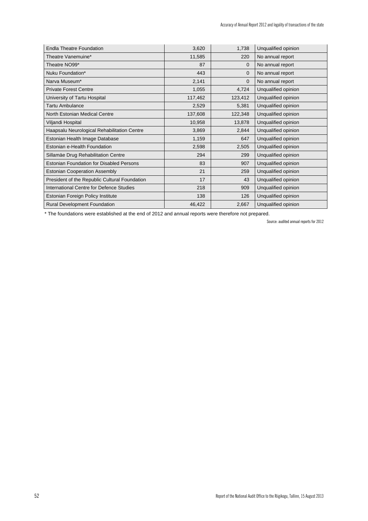| <b>Endla Theatre Foundation</b>                 | 3,620   | 1,738        | Unqualified opinion |
|-------------------------------------------------|---------|--------------|---------------------|
| Theatre Vanemuine*                              | 11,585  | 220          | No annual report    |
| Theatre NO99*                                   | 87      | $\mathbf{0}$ | No annual report    |
| Nuku Foundation*                                | 443     | $\mathbf{0}$ | No annual report    |
| Narva Museum*                                   | 2,141   | $\mathbf{0}$ | No annual report    |
| <b>Private Forest Centre</b>                    | 1,055   | 4,724        | Unqualified opinion |
| University of Tartu Hospital                    | 117,462 | 123,412      | Unqualified opinion |
| Tartu Ambulance                                 | 2,529   | 5,381        | Unqualified opinion |
| North Estonian Medical Centre                   | 137,608 | 122,348      | Unqualified opinion |
| Viljandi Hospital                               | 10,958  | 13,878       | Unqualified opinion |
| Haapsalu Neurological Rehabilitation Centre     | 3,869   | 2,844        | Unqualified opinion |
| Estonian Health Image Database                  | 1,159   | 647          | Unqualified opinion |
| Estonian e-Health Foundation                    | 2,598   | 2,505        | Unqualified opinion |
| Sillamäe Drug Rehabilitation Centre             | 294     | 299          | Unqualified opinion |
| <b>Estonian Foundation for Disabled Persons</b> | 83      | 907          | Unqualified opinion |
| <b>Estonian Cooperation Assembly</b>            | 21      | 259          | Unqualified opinion |
| President of the Republic Cultural Foundation   | 17      | 43           | Unqualified opinion |
| International Centre for Defence Studies        | 218     | 909          | Unqualified opinion |
| Estonian Foreign Policy Institute               | 138     | 126          | Unqualified opinion |
| <b>Rural Development Foundation</b>             | 46,422  | 2,667        | Unqualified opinion |

\* The foundations were established at the end of 2012 and annual reports were therefore not prepared.

Source: audited annual reports for 2012